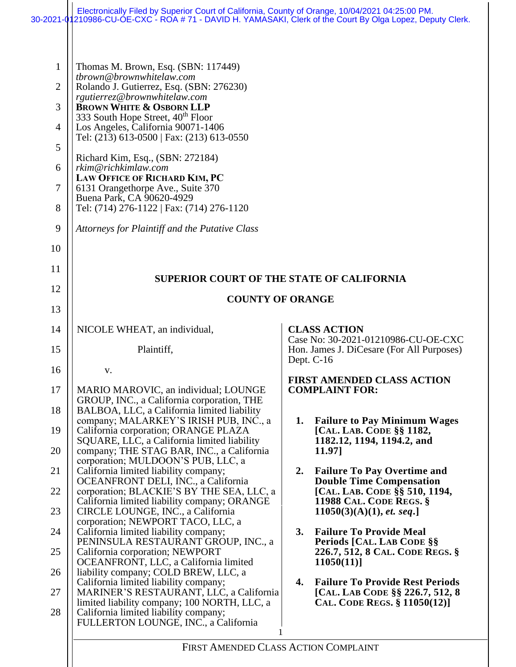|                                                                                | Electronically Filed by Superior Court of California, County of Orange, 10/04/2021 04:25:00 PM.<br>30-2021-01210986-CU-ÓE-CXC - ROA # 71 - DAVID H. YAMASAKI, Clerk of the Court By Olga Lopez, Deputy Clerk.                                                                                                                                                                                                                                                                                                                                                                       |                                                                                  |
|--------------------------------------------------------------------------------|-------------------------------------------------------------------------------------------------------------------------------------------------------------------------------------------------------------------------------------------------------------------------------------------------------------------------------------------------------------------------------------------------------------------------------------------------------------------------------------------------------------------------------------------------------------------------------------|----------------------------------------------------------------------------------|
| $\mathbf{1}$<br>$\overline{2}$<br>3<br>$\overline{4}$<br>5<br>6<br>7<br>8<br>9 | Thomas M. Brown, Esq. (SBN: 117449)<br>tbrown@brownwhitelaw.com<br>Rolando J. Gutierrez, Esq. (SBN: 276230)<br>rgutierrez@brownwhitelaw.com<br><b>BROWN WHITE &amp; OSBORN LLP</b><br>333 South Hope Street, 40 <sup>th</sup> Floor<br>Los Angeles, California 90071-1406<br>Tel: (213) 613-0500   Fax: (213) 613-0550<br>Richard Kim, Esq., (SBN: 272184)<br>rkim@richkimlaw.com<br>LAW OFFICE OF RICHARD KIM, PC<br>6131 Orangethorpe Ave., Suite 370<br>Buena Park, CA 90620-4929<br>Tel: (714) 276-1122   Fax: (714) 276-1120<br>Attorneys for Plaintiff and the Putative Class |                                                                                  |
| 10                                                                             |                                                                                                                                                                                                                                                                                                                                                                                                                                                                                                                                                                                     |                                                                                  |
| 11                                                                             | <b>SUPERIOR COURT OF THE STATE OF CALIFORNIA</b>                                                                                                                                                                                                                                                                                                                                                                                                                                                                                                                                    |                                                                                  |
| 12                                                                             | <b>COUNTY OF ORANGE</b>                                                                                                                                                                                                                                                                                                                                                                                                                                                                                                                                                             |                                                                                  |
| 13                                                                             |                                                                                                                                                                                                                                                                                                                                                                                                                                                                                                                                                                                     |                                                                                  |
| 14                                                                             | NICOLE WHEAT, an individual,                                                                                                                                                                                                                                                                                                                                                                                                                                                                                                                                                        | <b>CLASS ACTION</b><br>Case No: 30-2021-01210986-CU-OE-CXC                       |
| 15                                                                             | Plaintiff,                                                                                                                                                                                                                                                                                                                                                                                                                                                                                                                                                                          | Hon. James J. DiCesare (For All Purposes)<br>Dept. C-16                          |
| 16                                                                             | V.                                                                                                                                                                                                                                                                                                                                                                                                                                                                                                                                                                                  | FIRST AMENDED CLASS ACTION                                                       |
| 17                                                                             | MARIO MAROVIC, an individual; LOUNGE<br>GROUP, INC., a California corporation, THE                                                                                                                                                                                                                                                                                                                                                                                                                                                                                                  | <b>COMPLAINT FOR:</b>                                                            |
| 18                                                                             | BALBOA, LLC, a California limited liability<br>company; MALARKEY'S IRISH PUB, INC., a                                                                                                                                                                                                                                                                                                                                                                                                                                                                                               | 1. Failure to Pay Minimum Wages                                                  |
| 19                                                                             | California corporation; ORANGE PLAZA<br>SQUARE, LLC, a California limited liability                                                                                                                                                                                                                                                                                                                                                                                                                                                                                                 | [CAL. LAB. CODE §§ 1182,<br>1182.12, 1194, 1194.2, and                           |
| 20                                                                             | company; THE STAG BAR, INC., a California<br>corporation; MULDOON'S PUB, LLC, a                                                                                                                                                                                                                                                                                                                                                                                                                                                                                                     | 11.97]                                                                           |
| 21                                                                             | California limited liability company;<br>OCEANFRONT DELI, INC., a California                                                                                                                                                                                                                                                                                                                                                                                                                                                                                                        | <b>Failure To Pay Overtime and</b><br>2.<br><b>Double Time Compensation</b>      |
| 22                                                                             | corporation; BLACKIE'S BY THE SEA, LLC, a<br>California limited liability company; ORANGE                                                                                                                                                                                                                                                                                                                                                                                                                                                                                           | [CAL. LAB. CODE §§ 510, 1194,<br><b>11988 CAL. CODE REGS. §</b>                  |
| 23<br>24                                                                       | CIRCLE LOUNGE, INC., a California<br>corporation; NEWPORT TACO, LLC, a                                                                                                                                                                                                                                                                                                                                                                                                                                                                                                              | 11050(3)(A)(1), et. seq.]<br><b>Failure To Provide Meal</b><br>3.                |
| 25                                                                             | California limited liability company;<br>PENINSULA RESTAURANT GROUP, INC., a<br>California corporation; NEWPORT                                                                                                                                                                                                                                                                                                                                                                                                                                                                     | Periods [CAL. LAB CODE §§<br>226.7, 512, 8 CAL. CODE REGS. §                     |
| 26                                                                             | OCEANFRONT, LLC, a California limited<br>liability company; COLD BREW, LLC, a                                                                                                                                                                                                                                                                                                                                                                                                                                                                                                       | 11050(11)                                                                        |
| 27                                                                             | California limited liability company;<br>MARINER'S RESTAURANT, LLC, a California                                                                                                                                                                                                                                                                                                                                                                                                                                                                                                    | <b>Failure To Provide Rest Periods</b><br>4.<br>[CAL. LAB CODE §§ 226.7, 512, 8] |
| 28                                                                             | limited liability company; 100 NORTH, LLC, a<br>California limited liability company;<br>FULLERTON LOUNGE, INC., a California                                                                                                                                                                                                                                                                                                                                                                                                                                                       | CAL. CODE REGS. § 11050(12)]                                                     |
|                                                                                | FIRST AMENDED CLASS ACTION COMPLAINT                                                                                                                                                                                                                                                                                                                                                                                                                                                                                                                                                |                                                                                  |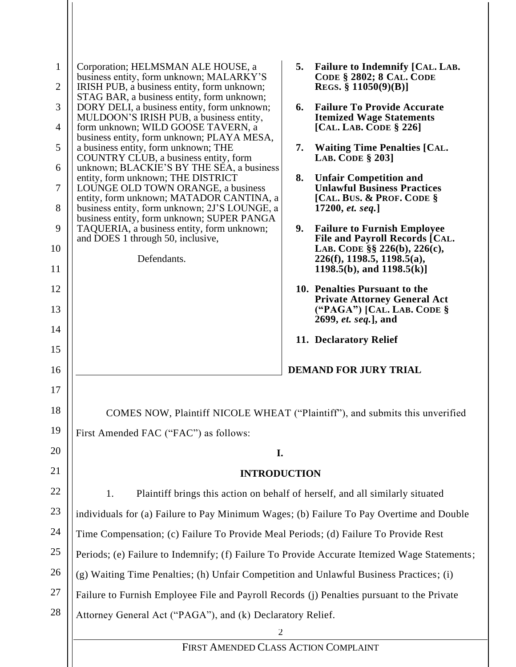| $\mathbf{1}$<br>$\overline{2}$<br>3<br>$\overline{4}$<br>5<br>6<br>$\overline{7}$<br>8<br>9<br>10<br>11<br>12<br>13 | Corporation; HELMSMAN ALE HOUSE, a<br>business entity, form unknown; MALARKY'S<br>IRISH PUB, a business entity, form unknown;<br>STAG BAR, a business entity, form unknown;<br>DORY DELI, a business entity, form unknown;<br>MULDOON'S IRISH PUB, a business entity,<br>form unknown; WILD GOOSE TAVERN, a<br>business entity, form unknown; PLAYA MESA,<br>a business entity, form unknown; THE<br>COUNTRY CLUB, a business entity, form<br>unknown; BLACKIE'S BY THE SEA, a business<br>entity, form unknown; THE DISTRICT<br>LOUNGE OLD TOWN ORANGE, a business<br>entity, form unknown; MATADOR CANTINA, a<br>business entity, form unknown; 2J'S LOUNGE, a<br>business entity, form unknown; SUPER PANGA<br>TAQUERIA, a business entity, form unknown;<br>and DOES 1 through 50, inclusive,<br>Defendants. | 5.<br><b>Failure to Indemnify [CAL. LAB.</b><br><b>CODE § 2802; 8 CAL. CODE</b><br>REGS. § $11050(9)(B)$ ]<br>6.<br><b>Failure To Provide Accurate</b><br><b>Itemized Wage Statements</b><br>[CAL. LAB. CODE $\S$ 226]<br><b>Waiting Time Penalties [CAL.</b><br>7.<br><b>LAB. CODE § 2031</b><br>8.<br><b>Unfair Competition and</b><br><b>Unlawful Business Practices</b><br>[CAL. BUS. & PROF. CODE §<br>17200, et. seq.]<br>9.<br><b>Failure to Furnish Employee</b><br>File and Payroll Records [CAL.<br>LAB. CODE §§ 226(b), 226(c),<br>$226(f)$ , 1198.5, 1198.5(a),<br>1198.5(b), and $1198.5(k)$ ]<br>10. Penalties Pursuant to the<br><b>Private Attorney General Act</b><br>("PAGA") [CAL. LAB. CODE §<br>2699, et. seq.], and |
|---------------------------------------------------------------------------------------------------------------------|------------------------------------------------------------------------------------------------------------------------------------------------------------------------------------------------------------------------------------------------------------------------------------------------------------------------------------------------------------------------------------------------------------------------------------------------------------------------------------------------------------------------------------------------------------------------------------------------------------------------------------------------------------------------------------------------------------------------------------------------------------------------------------------------------------------|-------------------------------------------------------------------------------------------------------------------------------------------------------------------------------------------------------------------------------------------------------------------------------------------------------------------------------------------------------------------------------------------------------------------------------------------------------------------------------------------------------------------------------------------------------------------------------------------------------------------------------------------------------------------------------------------------------------------------------------------|
| 14                                                                                                                  |                                                                                                                                                                                                                                                                                                                                                                                                                                                                                                                                                                                                                                                                                                                                                                                                                  | 11. Declaratory Relief                                                                                                                                                                                                                                                                                                                                                                                                                                                                                                                                                                                                                                                                                                                    |
| 15                                                                                                                  |                                                                                                                                                                                                                                                                                                                                                                                                                                                                                                                                                                                                                                                                                                                                                                                                                  |                                                                                                                                                                                                                                                                                                                                                                                                                                                                                                                                                                                                                                                                                                                                           |
| 16                                                                                                                  |                                                                                                                                                                                                                                                                                                                                                                                                                                                                                                                                                                                                                                                                                                                                                                                                                  | <b>DEMAND FOR JURY TRIAL</b>                                                                                                                                                                                                                                                                                                                                                                                                                                                                                                                                                                                                                                                                                                              |
| 17                                                                                                                  |                                                                                                                                                                                                                                                                                                                                                                                                                                                                                                                                                                                                                                                                                                                                                                                                                  |                                                                                                                                                                                                                                                                                                                                                                                                                                                                                                                                                                                                                                                                                                                                           |
| 18                                                                                                                  | COMES NOW, Plaintiff NICOLE WHEAT ("Plaintiff"), and submits this unverified                                                                                                                                                                                                                                                                                                                                                                                                                                                                                                                                                                                                                                                                                                                                     |                                                                                                                                                                                                                                                                                                                                                                                                                                                                                                                                                                                                                                                                                                                                           |
| 19                                                                                                                  | First Amended FAC ("FAC") as follows:                                                                                                                                                                                                                                                                                                                                                                                                                                                                                                                                                                                                                                                                                                                                                                            |                                                                                                                                                                                                                                                                                                                                                                                                                                                                                                                                                                                                                                                                                                                                           |
| 20                                                                                                                  | I.                                                                                                                                                                                                                                                                                                                                                                                                                                                                                                                                                                                                                                                                                                                                                                                                               |                                                                                                                                                                                                                                                                                                                                                                                                                                                                                                                                                                                                                                                                                                                                           |
| 21                                                                                                                  | <b>INTRODUCTION</b>                                                                                                                                                                                                                                                                                                                                                                                                                                                                                                                                                                                                                                                                                                                                                                                              |                                                                                                                                                                                                                                                                                                                                                                                                                                                                                                                                                                                                                                                                                                                                           |
| 22                                                                                                                  | 1.                                                                                                                                                                                                                                                                                                                                                                                                                                                                                                                                                                                                                                                                                                                                                                                                               | Plaintiff brings this action on behalf of herself, and all similarly situated                                                                                                                                                                                                                                                                                                                                                                                                                                                                                                                                                                                                                                                             |
| 23                                                                                                                  | individuals for (a) Failure to Pay Minimum Wages; (b) Failure To Pay Overtime and Double                                                                                                                                                                                                                                                                                                                                                                                                                                                                                                                                                                                                                                                                                                                         |                                                                                                                                                                                                                                                                                                                                                                                                                                                                                                                                                                                                                                                                                                                                           |
| 24                                                                                                                  | Time Compensation; (c) Failure To Provide Meal Periods; (d) Failure To Provide Rest                                                                                                                                                                                                                                                                                                                                                                                                                                                                                                                                                                                                                                                                                                                              |                                                                                                                                                                                                                                                                                                                                                                                                                                                                                                                                                                                                                                                                                                                                           |
| 25                                                                                                                  | Periods; (e) Failure to Indemnify; (f) Failure To Provide Accurate Itemized Wage Statements;                                                                                                                                                                                                                                                                                                                                                                                                                                                                                                                                                                                                                                                                                                                     |                                                                                                                                                                                                                                                                                                                                                                                                                                                                                                                                                                                                                                                                                                                                           |
| 26                                                                                                                  | (g) Waiting Time Penalties; (h) Unfair Competition and Unlawful Business Practices; (i)                                                                                                                                                                                                                                                                                                                                                                                                                                                                                                                                                                                                                                                                                                                          |                                                                                                                                                                                                                                                                                                                                                                                                                                                                                                                                                                                                                                                                                                                                           |
| 27                                                                                                                  | Failure to Furnish Employee File and Payroll Records (j) Penalties pursuant to the Private                                                                                                                                                                                                                                                                                                                                                                                                                                                                                                                                                                                                                                                                                                                       |                                                                                                                                                                                                                                                                                                                                                                                                                                                                                                                                                                                                                                                                                                                                           |
| 28                                                                                                                  | Attorney General Act ("PAGA"), and (k) Declaratory Relief.                                                                                                                                                                                                                                                                                                                                                                                                                                                                                                                                                                                                                                                                                                                                                       |                                                                                                                                                                                                                                                                                                                                                                                                                                                                                                                                                                                                                                                                                                                                           |
|                                                                                                                     | 2                                                                                                                                                                                                                                                                                                                                                                                                                                                                                                                                                                                                                                                                                                                                                                                                                |                                                                                                                                                                                                                                                                                                                                                                                                                                                                                                                                                                                                                                                                                                                                           |
|                                                                                                                     | FIRST AMENDED CLASS ACTION COMPLAINT                                                                                                                                                                                                                                                                                                                                                                                                                                                                                                                                                                                                                                                                                                                                                                             |                                                                                                                                                                                                                                                                                                                                                                                                                                                                                                                                                                                                                                                                                                                                           |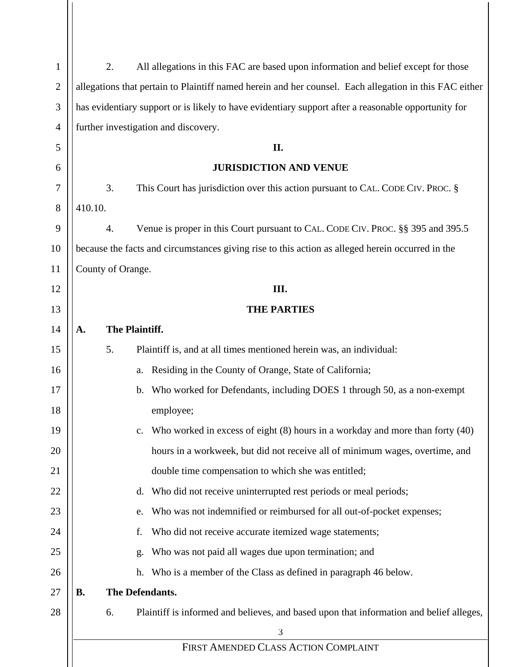| 1              |           | 2.                | All allegations in this FAC are based upon information and belief except for those                     |
|----------------|-----------|-------------------|--------------------------------------------------------------------------------------------------------|
| $\overline{c}$ |           |                   | allegations that pertain to Plaintiff named herein and her counsel. Each allegation in this FAC either |
| 3              |           |                   | has evidentiary support or is likely to have evidentiary support after a reasonable opportunity for    |
| $\overline{4}$ |           |                   | further investigation and discovery.                                                                   |
| 5              |           |                   | II.                                                                                                    |
| 6              |           |                   | <b>JURISDICTION AND VENUE</b>                                                                          |
| 7              |           | 3.                | This Court has jurisdiction over this action pursuant to CAL. CODE CIV. PROC. §                        |
| 8              | 410.10.   |                   |                                                                                                        |
| 9              |           | 4.                | Venue is proper in this Court pursuant to CAL. CODE CIV. PROC. §§ 395 and 395.5                        |
| 10             |           |                   | because the facts and circumstances giving rise to this action as alleged herein occurred in the       |
| 11             |           | County of Orange. |                                                                                                        |
| 12             |           |                   | III.                                                                                                   |
| 13             |           |                   | <b>THE PARTIES</b>                                                                                     |
| 14             | A.        |                   | The Plaintiff.                                                                                         |
| 15             |           | 5.                | Plaintiff is, and at all times mentioned herein was, an individual:                                    |
| 16             |           |                   | Residing in the County of Orange, State of California;<br>a.                                           |
| 17             |           |                   | Who worked for Defendants, including DOES 1 through 50, as a non-exempt<br>b.                          |
| 18             |           |                   | employee;                                                                                              |
| 19             |           |                   | c. Who worked in excess of eight (8) hours in a workday and more than forty (40)                       |
| 20             |           |                   | hours in a workweek, but did not receive all of minimum wages, overtime, and                           |
| 21             |           |                   | double time compensation to which she was entitled;                                                    |
| 22             |           |                   | d. Who did not receive uninterrupted rest periods or meal periods;                                     |
| 23             |           |                   | Who was not indemnified or reimbursed for all out-of-pocket expenses;<br>e.                            |
| 24             |           |                   | Who did not receive accurate itemized wage statements;<br>f.                                           |
| 25             |           |                   | Who was not paid all wages due upon termination; and<br>g.                                             |
| 26             |           |                   | h. Who is a member of the Class as defined in paragraph 46 below.                                      |
| 27             | <b>B.</b> |                   | The Defendants.                                                                                        |
| 28             |           | 6.                | Plaintiff is informed and believes, and based upon that information and belief alleges,                |
|                |           |                   | 3                                                                                                      |
|                |           |                   | FIRST AMENDED CLASS ACTION COMPLAINT                                                                   |
|                |           |                   |                                                                                                        |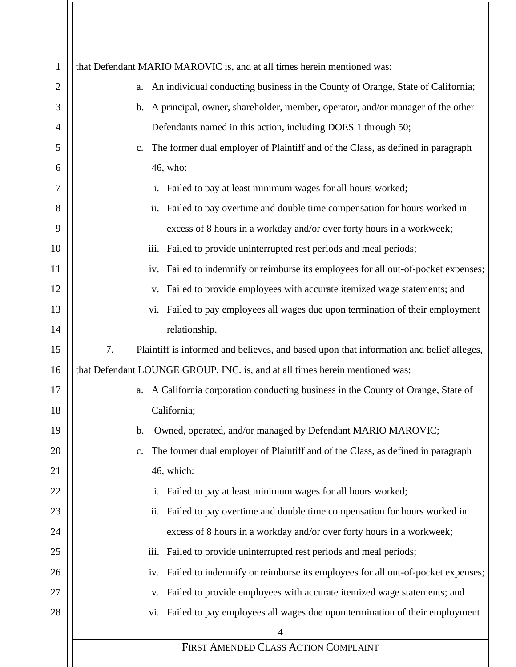| $\mathbf{1}$ | that Defendant MARIO MAROVIC is, and at all times herein mentioned was:                          |
|--------------|--------------------------------------------------------------------------------------------------|
| 2            | An individual conducting business in the County of Orange, State of California;<br>a.            |
| 3            | A principal, owner, shareholder, member, operator, and/or manager of the other<br>$\mathbf{b}$ . |
| 4            | Defendants named in this action, including DOES 1 through 50;                                    |
| 5            | The former dual employer of Plaintiff and of the Class, as defined in paragraph<br>c.            |
| 6            | 46, who:                                                                                         |
| 7            | Failed to pay at least minimum wages for all hours worked;<br>i.                                 |
| 8            | Failed to pay overtime and double time compensation for hours worked in<br>ii.                   |
| 9            | excess of 8 hours in a workday and/or over forty hours in a workweek;                            |
| 10           | Failed to provide uninterrupted rest periods and meal periods;<br>iii.                           |
| 11           | Failed to indemnify or reimburse its employees for all out-of-pocket expenses;<br>iv.            |
| 12           | Failed to provide employees with accurate itemized wage statements; and<br>V.                    |
| 13           | Failed to pay employees all wages due upon termination of their employment<br>Vi.                |
| 14           | relationship.                                                                                    |
| 15           | 7.<br>Plaintiff is informed and believes, and based upon that information and belief alleges,    |
| 16           | that Defendant LOUNGE GROUP, INC. is, and at all times herein mentioned was:                     |
| 17           | A California corporation conducting business in the County of Orange, State of<br>a.             |
| 18           | California;                                                                                      |
| 19           | Owned, operated, and/or managed by Defendant MARIO MAROVIC;<br>$\mathbf b$ .                     |
| 20           | The former dual employer of Plaintiff and of the Class, as defined in paragraph<br>c.            |
| 21           | 46, which:                                                                                       |
| 22           | Failed to pay at least minimum wages for all hours worked;<br>$\mathbf{1}$ .                     |
| 23           | Failed to pay overtime and double time compensation for hours worked in<br>ii.                   |
| 24           | excess of 8 hours in a workday and/or over forty hours in a workweek;                            |
| 25           | Failed to provide uninterrupted rest periods and meal periods;<br>iii.                           |
| 26           | Failed to indemnify or reimburse its employees for all out-of-pocket expenses;<br>iv.            |
| 27           | Failed to provide employees with accurate itemized wage statements; and<br>V.                    |
| 28           | Failed to pay employees all wages due upon termination of their employment<br>V1.                |
|              | $\overline{4}$                                                                                   |
|              | FIRST AMENDED CLASS ACTION COMPLAINT                                                             |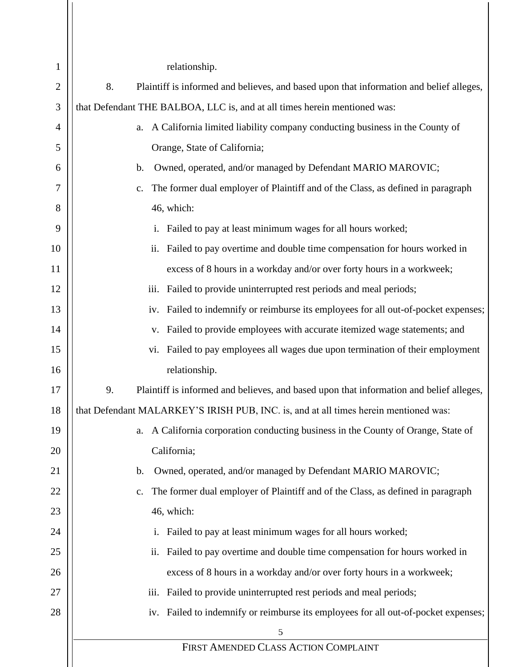| $\mathbf{1}$   | relationship.                                                                                    |
|----------------|--------------------------------------------------------------------------------------------------|
| $\mathbf{2}$   | 8.<br>Plaintiff is informed and believes, and based upon that information and belief alleges,    |
| 3              | that Defendant THE BALBOA, LLC is, and at all times herein mentioned was:                        |
| $\overline{4}$ | a. A California limited liability company conducting business in the County of                   |
| 5              | Orange, State of California;                                                                     |
| 6              | Owned, operated, and/or managed by Defendant MARIO MAROVIC;<br>$\mathbf b$ .                     |
| 7              | The former dual employer of Plaintiff and of the Class, as defined in paragraph<br>$C_{\bullet}$ |
| 8              | 46, which:                                                                                       |
| 9              | Failed to pay at least minimum wages for all hours worked;<br>$\mathbf{i}$ .                     |
| 10             | Failed to pay overtime and double time compensation for hours worked in<br>ii.                   |
| 11             | excess of 8 hours in a workday and/or over forty hours in a workweek;                            |
| 12             | Failed to provide uninterrupted rest periods and meal periods;<br>iii.                           |
| 13             | iv. Failed to indemnify or reimburse its employees for all out-of-pocket expenses;               |
| 14             | Failed to provide employees with accurate itemized wage statements; and<br>V.                    |
| 15             | vi. Failed to pay employees all wages due upon termination of their employment                   |
| 16             | relationship.                                                                                    |
| 17             | 9.<br>Plaintiff is informed and believes, and based upon that information and belief alleges,    |
| 18             | that Defendant MALARKEY'S IRISH PUB, INC. is, and at all times herein mentioned was:             |
| 19             | A California corporation conducting business in the County of Orange, State of<br>a.             |
| 20             | California;                                                                                      |
| 21             | Owned, operated, and/or managed by Defendant MARIO MAROVIC;<br>b.                                |
| 22             | The former dual employer of Plaintiff and of the Class, as defined in paragraph<br>c.            |
| 23             | 46, which:                                                                                       |
| 24             | Failed to pay at least minimum wages for all hours worked;                                       |
| 25             | Failed to pay overtime and double time compensation for hours worked in<br>ii.                   |
| 26             | excess of 8 hours in a workday and/or over forty hours in a workweek;                            |
| 27             | Failed to provide uninterrupted rest periods and meal periods;<br>iii.                           |
| 28             | Failed to indemnify or reimburse its employees for all out-of-pocket expenses;<br>iv.            |
|                | 5                                                                                                |
|                | FIRST AMENDED CLASS ACTION COMPLAINT                                                             |

 $\mathsf{I}$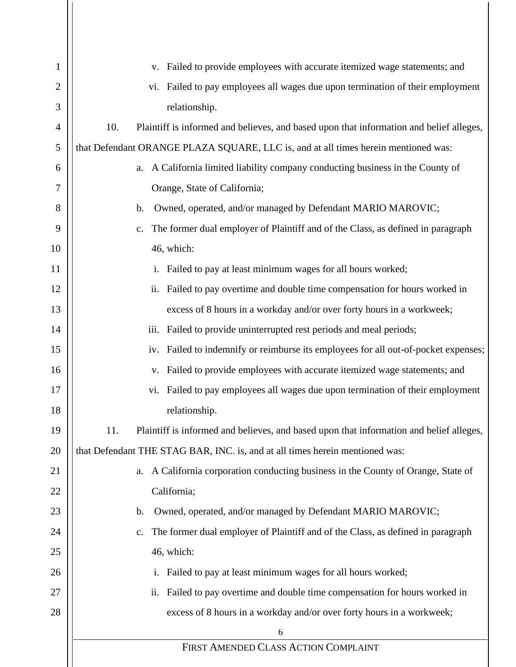| 1              | v. Failed to provide employees with accurate itemized wage statements; and                        |
|----------------|---------------------------------------------------------------------------------------------------|
| $\overline{2}$ | vi. Failed to pay employees all wages due upon termination of their employment                    |
| 3              | relationship.                                                                                     |
| $\overline{4}$ | 10.<br>Plaintiff is informed and believes, and based upon that information and belief alleges,    |
| 5              | that Defendant ORANGE PLAZA SQUARE, LLC is, and at all times herein mentioned was:                |
| 6              | a. A California limited liability company conducting business in the County of                    |
| 7              | Orange, State of California;                                                                      |
| 8              | Owned, operated, and/or managed by Defendant MARIO MAROVIC;<br>$\mathbf{b}$ .                     |
| 9              | The former dual employer of Plaintiff and of the Class, as defined in paragraph<br>c.             |
| 10             | 46, which:                                                                                        |
| 11             | Failed to pay at least minimum wages for all hours worked;<br>$\mathbf{i}$ .                      |
| 12             | Failed to pay overtime and double time compensation for hours worked in<br>ii.                    |
| 13             | excess of 8 hours in a workday and/or over forty hours in a workweek;                             |
| 14             | iii. Failed to provide uninterrupted rest periods and meal periods;                               |
| 15             | iv. Failed to indemnify or reimburse its employees for all out-of-pocket expenses;                |
| 16             | Failed to provide employees with accurate itemized wage statements; and<br>V.                     |
| 17             | Failed to pay employees all wages due upon termination of their employment<br>vi.                 |
| 18             | relationship.                                                                                     |
| 19             | 11.<br>Plaintiff is informed and believes, and based upon that information and belief alleges,    |
| 20             | that Defendant THE STAG BAR, INC. is, and at all times herein mentioned was:                      |
| 21             | a. A California corporation conducting business in the County of Orange, State of                 |
| 22             | California;                                                                                       |
| 23             | Owned, operated, and/or managed by Defendant MARIO MAROVIC;<br>$\mathbf{b}$ .                     |
| 24             | The former dual employer of Plaintiff and of the Class, as defined in paragraph<br>$\mathbf{c}$ . |
| 25             | 46, which:                                                                                        |
| 26             | Failed to pay at least minimum wages for all hours worked;                                        |
| 27             | Failed to pay overtime and double time compensation for hours worked in<br>ii.                    |
| 28             | excess of 8 hours in a workday and/or over forty hours in a workweek;                             |
|                | 6                                                                                                 |
|                | FIRST AMENDED CLASS ACTION COMPLAINT                                                              |
|                |                                                                                                   |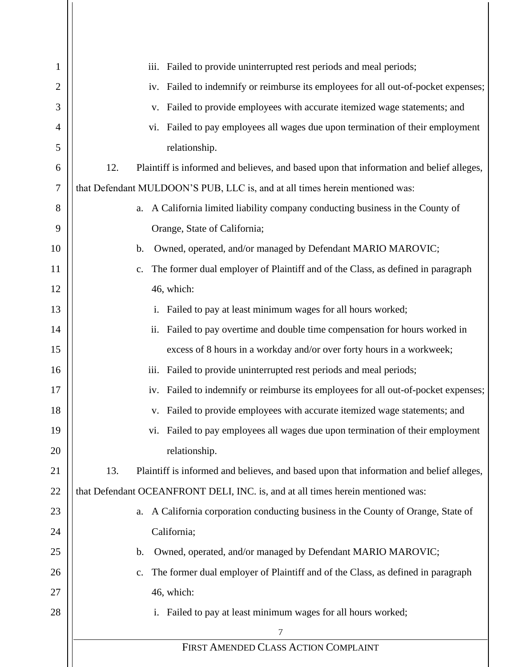| 1      | Failed to provide uninterrupted rest periods and meal periods;<br>iii.                           |
|--------|--------------------------------------------------------------------------------------------------|
| 2      | Failed to indemnify or reimburse its employees for all out-of-pocket expenses;<br>iv.            |
| 3      | Failed to provide employees with accurate itemized wage statements; and<br>V.                    |
| 4      | Failed to pay employees all wages due upon termination of their employment<br>vi.                |
| 5      | relationship.                                                                                    |
| 6      | 12.<br>Plaintiff is informed and believes, and based upon that information and belief alleges,   |
| $\tau$ | that Defendant MULDOON'S PUB, LLC is, and at all times herein mentioned was:                     |
| 8      | a. A California limited liability company conducting business in the County of                   |
| 9      | Orange, State of California;                                                                     |
| 10     | Owned, operated, and/or managed by Defendant MARIO MAROVIC;<br>$\mathbf b$ .                     |
| 11     | The former dual employer of Plaintiff and of the Class, as defined in paragraph<br>$C_{\bullet}$ |
| 12     | 46, which:                                                                                       |
| 13     | Failed to pay at least minimum wages for all hours worked;<br>$\mathbf{i}$ .                     |
| 14     | Failed to pay overtime and double time compensation for hours worked in<br>ii.                   |
| 15     | excess of 8 hours in a workday and/or over forty hours in a workweek;                            |
| 16     | iii.<br>Failed to provide uninterrupted rest periods and meal periods;                           |
| 17     | Failed to indemnify or reimburse its employees for all out-of-pocket expenses;<br>iv.            |
| 18     | Failed to provide employees with accurate itemized wage statements; and<br>V.                    |
| 19     | Failed to pay employees all wages due upon termination of their employment<br>VI.                |
| 20     | relationship.                                                                                    |
| 21     | 13.<br>Plaintiff is informed and believes, and based upon that information and belief alleges,   |
| 22     | that Defendant OCEANFRONT DELI, INC. is, and at all times herein mentioned was:                  |
| 23     | a. A California corporation conducting business in the County of Orange, State of                |
| 24     | California;                                                                                      |
| 25     | Owned, operated, and/or managed by Defendant MARIO MAROVIC;<br>$\mathbf{b}$ .                    |
| 26     | The former dual employer of Plaintiff and of the Class, as defined in paragraph<br>$C_{\bullet}$ |
| 27     | 46, which:                                                                                       |
| 28     | Failed to pay at least minimum wages for all hours worked;                                       |
|        | 7                                                                                                |
|        | FIRST AMENDED CLASS ACTION COMPLAINT                                                             |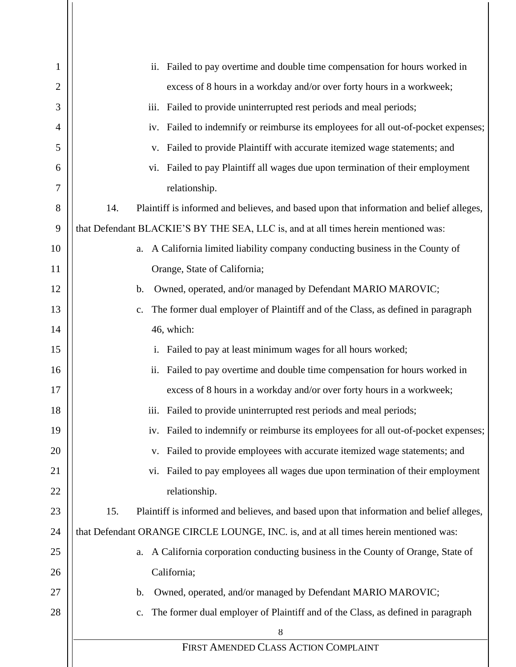| 1              | ii. Failed to pay overtime and double time compensation for hours worked in                       |
|----------------|---------------------------------------------------------------------------------------------------|
| $\overline{2}$ | excess of 8 hours in a workday and/or over forty hours in a workweek;                             |
| 3              | iii. Failed to provide uninterrupted rest periods and meal periods;                               |
| 4              | iv. Failed to indemnify or reimburse its employees for all out-of-pocket expenses;                |
| 5              | v. Failed to provide Plaintiff with accurate itemized wage statements; and                        |
| 6              | vi. Failed to pay Plaintiff all wages due upon termination of their employment                    |
| 7              | relationship.                                                                                     |
| 8              | 14.<br>Plaintiff is informed and believes, and based upon that information and belief alleges,    |
| 9              | that Defendant BLACKIE'S BY THE SEA, LLC is, and at all times herein mentioned was:               |
| 10             | a. A California limited liability company conducting business in the County of                    |
| 11             | Orange, State of California;                                                                      |
| 12             | Owned, operated, and/or managed by Defendant MARIO MAROVIC;<br>$\mathbf{b}$ .                     |
| 13             | The former dual employer of Plaintiff and of the Class, as defined in paragraph<br>c.             |
| 14             | 46, which:                                                                                        |
| 15             | i. Failed to pay at least minimum wages for all hours worked;                                     |
| 16             | ii. Failed to pay overtime and double time compensation for hours worked in                       |
| 17             | excess of 8 hours in a workday and/or over forty hours in a workweek;                             |
| 18             | iii. Failed to provide uninterrupted rest periods and meal periods;                               |
| 19             | iv. Failed to indemnify or reimburse its employees for all out-of-pocket expenses;                |
| 20             | v. Failed to provide employees with accurate itemized wage statements; and                        |
| 21             | vi. Failed to pay employees all wages due upon termination of their employment                    |
| 22             | relationship.                                                                                     |
| 23             | 15.<br>Plaintiff is informed and believes, and based upon that information and belief alleges,    |
| 24             | that Defendant ORANGE CIRCLE LOUNGE, INC. is, and at all times herein mentioned was:              |
| 25             | a. A California corporation conducting business in the County of Orange, State of                 |
| 26             | California;                                                                                       |
| 27             | Owned, operated, and/or managed by Defendant MARIO MAROVIC;<br>b.                                 |
| 28             | The former dual employer of Plaintiff and of the Class, as defined in paragraph<br>$\mathbf{c}$ . |
|                | 8                                                                                                 |
|                | FIRST AMENDED CLASS ACTION COMPLAINT                                                              |
|                |                                                                                                   |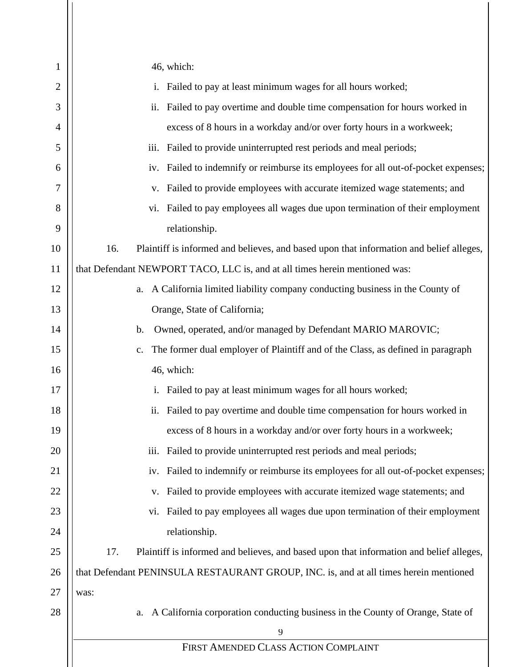| 1              | 46, which:                                                                                     |
|----------------|------------------------------------------------------------------------------------------------|
| $\overline{2}$ | i. Failed to pay at least minimum wages for all hours worked;                                  |
| 3              | ii. Failed to pay overtime and double time compensation for hours worked in                    |
| 4              | excess of 8 hours in a workday and/or over forty hours in a workweek;                          |
| 5              | iii. Failed to provide uninterrupted rest periods and meal periods;                            |
| 6              | iv. Failed to indemnify or reimburse its employees for all out-of-pocket expenses;             |
| 7              | v. Failed to provide employees with accurate itemized wage statements; and                     |
| 8              | vi. Failed to pay employees all wages due upon termination of their employment                 |
| 9              | relationship.                                                                                  |
| 10             | 16.<br>Plaintiff is informed and believes, and based upon that information and belief alleges, |
| 11             | that Defendant NEWPORT TACO, LLC is, and at all times herein mentioned was:                    |
| 12             | a. A California limited liability company conducting business in the County of                 |
| 13             | Orange, State of California;                                                                   |
| 14             | Owned, operated, and/or managed by Defendant MARIO MAROVIC;<br>$\mathbf{b}$ .                  |
| 15             | The former dual employer of Plaintiff and of the Class, as defined in paragraph<br>c.          |
| 16             | 46, which:                                                                                     |
| 17             | i. Failed to pay at least minimum wages for all hours worked;                                  |
| 18             | ii. Failed to pay overtime and double time compensation for hours worked in                    |
| 19             | excess of 8 hours in a workday and/or over forty hours in a workweek;                          |
| 20             | Failed to provide uninterrupted rest periods and meal periods;<br>iii.                         |
| 21             | Failed to indemnify or reimburse its employees for all out-of-pocket expenses;<br>iv.          |
| 22             | Failed to provide employees with accurate itemized wage statements; and<br>V.                  |
| 23             | Failed to pay employees all wages due upon termination of their employment<br>V1.              |
| 24             | relationship.                                                                                  |
| 25             | 17.<br>Plaintiff is informed and believes, and based upon that information and belief alleges, |
| 26             | that Defendant PENINSULA RESTAURANT GROUP, INC. is, and at all times herein mentioned          |
| 27             | was:                                                                                           |
| 28             | A California corporation conducting business in the County of Orange, State of<br>a.           |
|                | 9                                                                                              |
|                | FIRST AMENDED CLASS ACTION COMPLAINT                                                           |
|                |                                                                                                |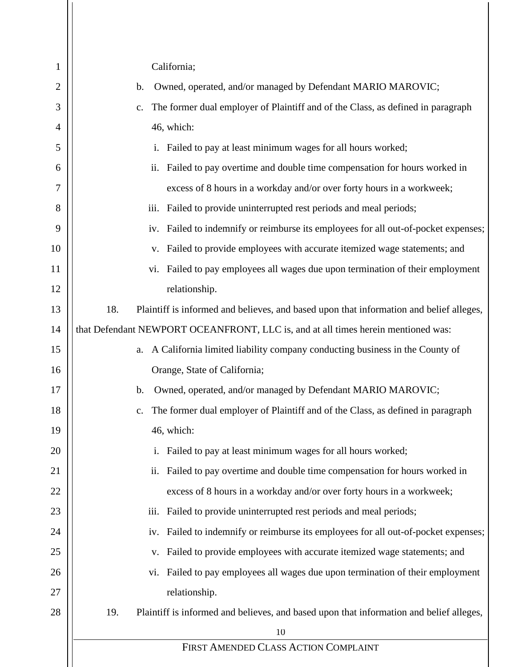| $\mathbf{1}$   | California;                                                                                       |
|----------------|---------------------------------------------------------------------------------------------------|
| $\overline{2}$ | Owned, operated, and/or managed by Defendant MARIO MAROVIC;<br>b.                                 |
| 3              | The former dual employer of Plaintiff and of the Class, as defined in paragraph<br>c.             |
| 4              | 46, which:                                                                                        |
| 5              | Failed to pay at least minimum wages for all hours worked;                                        |
| 6              | ii. Failed to pay overtime and double time compensation for hours worked in                       |
| 7              | excess of 8 hours in a workday and/or over forty hours in a workweek;                             |
| 8              | iii. Failed to provide uninterrupted rest periods and meal periods;                               |
| 9              | iv. Failed to indemnify or reimburse its employees for all out-of-pocket expenses;                |
| 10             | v. Failed to provide employees with accurate itemized wage statements; and                        |
| 11             | vi. Failed to pay employees all wages due upon termination of their employment                    |
| 12             | relationship.                                                                                     |
| 13             | 18.<br>Plaintiff is informed and believes, and based upon that information and belief alleges,    |
| 14             | that Defendant NEWPORT OCEANFRONT, LLC is, and at all times herein mentioned was:                 |
| 15             | a. A California limited liability company conducting business in the County of                    |
| 16             | Orange, State of California;                                                                      |
| 17             | Owned, operated, and/or managed by Defendant MARIO MAROVIC;<br>b.                                 |
| 18             | The former dual employer of Plaintiff and of the Class, as defined in paragraph<br>$\mathbf{c}$ . |
| 19             | 46, which:                                                                                        |
| 20             | Failed to pay at least minimum wages for all hours worked;<br>i.                                  |
| 21             | Failed to pay overtime and double time compensation for hours worked in<br>ii.                    |
| 22             | excess of 8 hours in a workday and/or over forty hours in a workweek;                             |
| 23             | Failed to provide uninterrupted rest periods and meal periods;<br>iii.                            |
| 24             | Failed to indemnify or reimburse its employees for all out-of-pocket expenses;<br>iv.             |
| 25             | Failed to provide employees with accurate itemized wage statements; and<br>V.                     |
| 26             | Failed to pay employees all wages due upon termination of their employment<br>vi.                 |
| 27             | relationship.                                                                                     |
| 28             | 19.<br>Plaintiff is informed and believes, and based upon that information and belief alleges,    |
|                | 10                                                                                                |
|                | FIRST AMENDED CLASS ACTION COMPLAINT                                                              |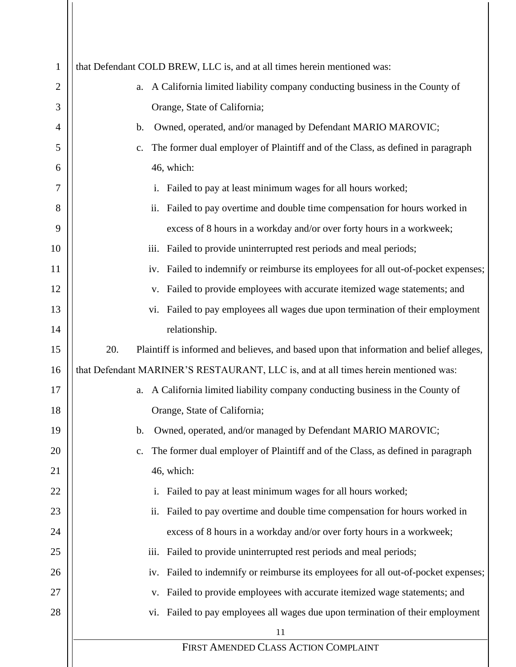| 1  | that Defendant COLD BREW, LLC is, and at all times herein mentioned was:                       |
|----|------------------------------------------------------------------------------------------------|
| 2  | A California limited liability company conducting business in the County of<br>a.              |
| 3  | Orange, State of California;                                                                   |
| 4  | Owned, operated, and/or managed by Defendant MARIO MAROVIC;<br>$\mathbf b$ .                   |
| 5  | The former dual employer of Plaintiff and of the Class, as defined in paragraph<br>c.          |
| 6  | 46, which:                                                                                     |
| 7  | Failed to pay at least minimum wages for all hours worked;<br>$\mathbf{i}$ .                   |
| 8  | Failed to pay overtime and double time compensation for hours worked in<br>ii.                 |
| 9  | excess of 8 hours in a workday and/or over forty hours in a workweek;                          |
| 10 | iii. Failed to provide uninterrupted rest periods and meal periods;                            |
| 11 | Failed to indemnify or reimburse its employees for all out-of-pocket expenses;<br>iv.          |
| 12 | Failed to provide employees with accurate itemized wage statements; and<br>V.                  |
| 13 | Failed to pay employees all wages due upon termination of their employment<br>V1.              |
| 14 | relationship.                                                                                  |
| 15 | 20.<br>Plaintiff is informed and believes, and based upon that information and belief alleges, |
| 16 | that Defendant MARINER'S RESTAURANT, LLC is, and at all times herein mentioned was:            |
| 17 | A California limited liability company conducting business in the County of<br>a.              |
| 18 | Orange, State of California;                                                                   |
| 19 | Owned, operated, and/or managed by Defendant MARIO MAROVIC;<br>b.                              |
| 20 | The former dual employer of Plaintiff and of the Class, as defined in paragraph<br>c.          |
| 21 | 46, which:                                                                                     |
| 22 | Failed to pay at least minimum wages for all hours worked;<br>i.                               |
| 23 | Failed to pay overtime and double time compensation for hours worked in<br>ii.                 |
| 24 | excess of 8 hours in a workday and/or over forty hours in a workweek;                          |
| 25 | Failed to provide uninterrupted rest periods and meal periods;<br>iii.                         |
| 26 | Failed to indemnify or reimburse its employees for all out-of-pocket expenses;<br>iv.          |
| 27 | Failed to provide employees with accurate itemized wage statements; and<br>V.                  |
| 28 | vi. Failed to pay employees all wages due upon termination of their employment                 |
|    | 11                                                                                             |
|    | FIRST AMENDED CLASS ACTION COMPLAINT                                                           |

 $\mathbf{I}$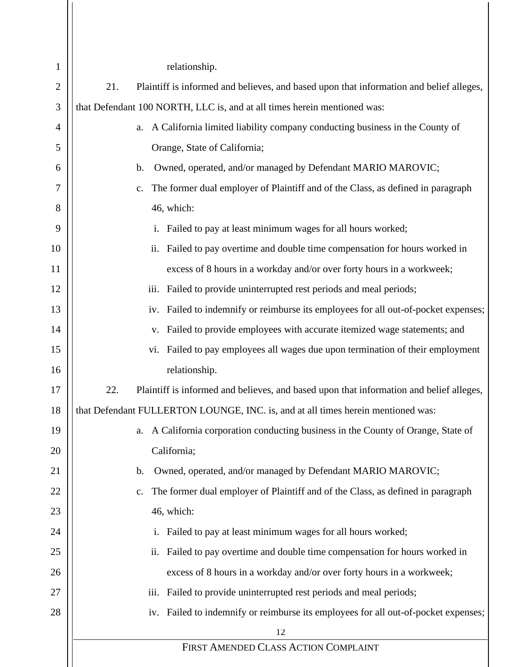| $\mathbf{1}$   | relationship.                                                                                    |
|----------------|--------------------------------------------------------------------------------------------------|
| $\mathbf{2}$   | 21.<br>Plaintiff is informed and believes, and based upon that information and belief alleges,   |
| 3              | that Defendant 100 NORTH, LLC is, and at all times herein mentioned was:                         |
| $\overline{4}$ | a. A California limited liability company conducting business in the County of                   |
| 5              | Orange, State of California;                                                                     |
| 6              | Owned, operated, and/or managed by Defendant MARIO MAROVIC;<br>$\mathbf b$ .                     |
| 7              | The former dual employer of Plaintiff and of the Class, as defined in paragraph<br>$C_{\bullet}$ |
| 8              | 46, which:                                                                                       |
| 9              | Failed to pay at least minimum wages for all hours worked;<br>$\mathbf{i}$ .                     |
| 10             | Failed to pay overtime and double time compensation for hours worked in<br>ii.                   |
| 11             | excess of 8 hours in a workday and/or over forty hours in a workweek;                            |
| 12             | Failed to provide uninterrupted rest periods and meal periods;<br>iii.                           |
| 13             | iv. Failed to indemnify or reimburse its employees for all out-of-pocket expenses;               |
| 14             | Failed to provide employees with accurate itemized wage statements; and<br>V.                    |
| 15             | vi. Failed to pay employees all wages due upon termination of their employment                   |
| 16             | relationship.                                                                                    |
| 17             | 22.<br>Plaintiff is informed and believes, and based upon that information and belief alleges,   |
| 18             | that Defendant FULLERTON LOUNGE, INC. is, and at all times herein mentioned was:                 |
| 19             | A California corporation conducting business in the County of Orange, State of<br>a.             |
| 20             | California;                                                                                      |
| 21             | Owned, operated, and/or managed by Defendant MARIO MAROVIC;<br>b.                                |
| 22             | The former dual employer of Plaintiff and of the Class, as defined in paragraph<br>c.            |
| 23             | 46, which:                                                                                       |
| 24             | Failed to pay at least minimum wages for all hours worked;                                       |
| 25             | Failed to pay overtime and double time compensation for hours worked in<br>ii.                   |
| 26             | excess of 8 hours in a workday and/or over forty hours in a workweek;                            |
| 27             | Failed to provide uninterrupted rest periods and meal periods;<br>iii.                           |
| 28             | iv. Failed to indemnify or reimburse its employees for all out-of-pocket expenses;               |
|                | 12                                                                                               |
|                | FIRST AMENDED CLASS ACTION COMPLAINT                                                             |

 $\mathsf{I}$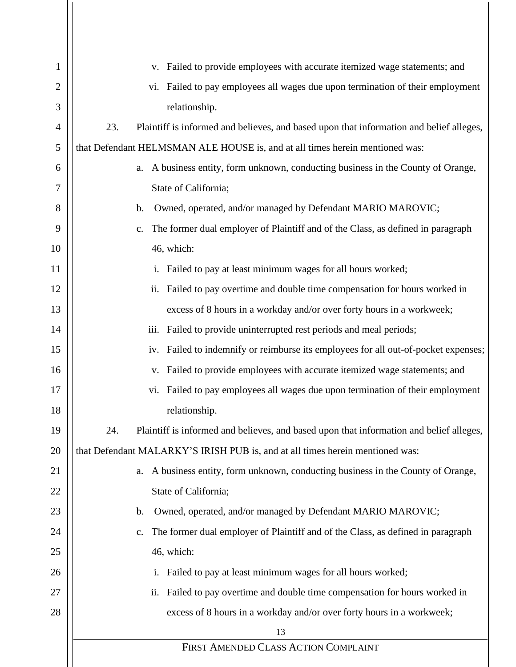| 1              | v. Failed to provide employees with accurate itemized wage statements; and                       |
|----------------|--------------------------------------------------------------------------------------------------|
| $\overline{2}$ | vi. Failed to pay employees all wages due upon termination of their employment                   |
| 3              | relationship.                                                                                    |
| 4              | 23.<br>Plaintiff is informed and believes, and based upon that information and belief alleges,   |
| 5              | that Defendant HELMSMAN ALE HOUSE is, and at all times herein mentioned was:                     |
| 6              | a. A business entity, form unknown, conducting business in the County of Orange,                 |
| 7              | State of California;                                                                             |
| 8              | Owned, operated, and/or managed by Defendant MARIO MAROVIC;<br>$\mathbf b$ .                     |
| 9              | The former dual employer of Plaintiff and of the Class, as defined in paragraph<br>$C_{\bullet}$ |
| 10             | 46, which:                                                                                       |
| 11             | i. Failed to pay at least minimum wages for all hours worked;                                    |
| 12             | ii. Failed to pay overtime and double time compensation for hours worked in                      |
| 13             | excess of 8 hours in a workday and/or over forty hours in a workweek;                            |
| 14             | Failed to provide uninterrupted rest periods and meal periods;<br>iii.                           |
| 15             | iv. Failed to indemnify or reimburse its employees for all out-of-pocket expenses;               |
| 16             | Failed to provide employees with accurate itemized wage statements; and<br>V.                    |
| 17             | vi. Failed to pay employees all wages due upon termination of their employment                   |
| 18             | relationship.                                                                                    |
| 19             | Plaintiff is informed and believes, and based upon that information and belief alleges,<br>24.   |
| 20             | that Defendant MALARKY'S IRISH PUB is, and at all times herein mentioned was:                    |
| 21             | a. A business entity, form unknown, conducting business in the County of Orange,                 |
| 22             | State of California;                                                                             |
| 23             | Owned, operated, and/or managed by Defendant MARIO MAROVIC;<br>$\mathbf b$ .                     |
| 24             | The former dual employer of Plaintiff and of the Class, as defined in paragraph<br>$C_{\bullet}$ |
| 25             | 46, which:                                                                                       |
| 26             | i. Failed to pay at least minimum wages for all hours worked;                                    |
| 27             | Failed to pay overtime and double time compensation for hours worked in<br>ii.                   |
| 28             | excess of 8 hours in a workday and/or over forty hours in a workweek;                            |
|                | 13                                                                                               |
|                | FIRST AMENDED CLASS ACTION COMPLAINT                                                             |
|                |                                                                                                  |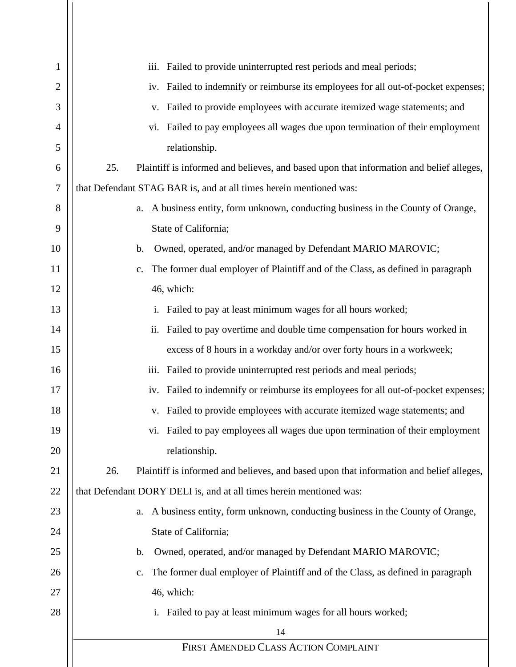| 1              | iii. Failed to provide uninterrupted rest periods and meal periods;                               |
|----------------|---------------------------------------------------------------------------------------------------|
| $\overline{2}$ | iv. Failed to indemnify or reimburse its employees for all out-of-pocket expenses;                |
| 3              | Failed to provide employees with accurate itemized wage statements; and<br>V.                     |
| $\overline{4}$ | Failed to pay employees all wages due upon termination of their employment<br>vi.                 |
| 5              | relationship.                                                                                     |
| 6              | Plaintiff is informed and believes, and based upon that information and belief alleges,<br>25.    |
| $\tau$         | that Defendant STAG BAR is, and at all times herein mentioned was:                                |
| 8              | a. A business entity, form unknown, conducting business in the County of Orange,                  |
| 9              | State of California;                                                                              |
| 10             | Owned, operated, and/or managed by Defendant MARIO MAROVIC;<br>$\mathbf b$ .                      |
| 11             | The former dual employer of Plaintiff and of the Class, as defined in paragraph<br>$C_{\bullet}$  |
| 12             | 46, which:                                                                                        |
| 13             | Failed to pay at least minimum wages for all hours worked;<br>i.                                  |
| 14             | Failed to pay overtime and double time compensation for hours worked in<br>ii.                    |
| 15             | excess of 8 hours in a workday and/or over forty hours in a workweek;                             |
| 16             | iii.<br>Failed to provide uninterrupted rest periods and meal periods;                            |
| 17             | Failed to indemnify or reimburse its employees for all out-of-pocket expenses;<br>iv.             |
| 18             | Failed to provide employees with accurate itemized wage statements; and<br>V.                     |
| 19             | Failed to pay employees all wages due upon termination of their employment<br>vi.                 |
| 20             | relationship.                                                                                     |
| 21             | 26.<br>Plaintiff is informed and believes, and based upon that information and belief alleges,    |
| 22             | that Defendant DORY DELI is, and at all times herein mentioned was:                               |
| 23             | A business entity, form unknown, conducting business in the County of Orange,<br>a.               |
| 24             | State of California;                                                                              |
| 25             | Owned, operated, and/or managed by Defendant MARIO MAROVIC;<br>b.                                 |
| 26             | The former dual employer of Plaintiff and of the Class, as defined in paragraph<br>$\mathbf{c}$ . |
| 27             | 46, which:                                                                                        |
| 28             | i. Failed to pay at least minimum wages for all hours worked;                                     |
|                | 14                                                                                                |
|                | FIRST AMENDED CLASS ACTION COMPLAINT                                                              |
|                |                                                                                                   |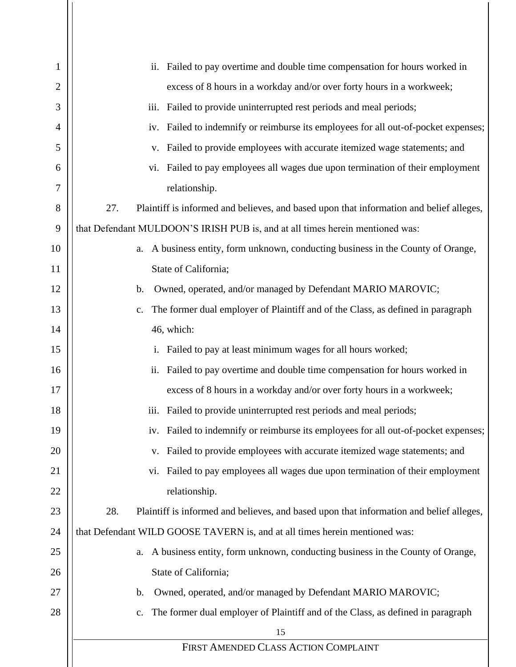| $\mathbf{1}$   | Failed to pay overtime and double time compensation for hours worked in<br>ii.                    |
|----------------|---------------------------------------------------------------------------------------------------|
| $\overline{2}$ | excess of 8 hours in a workday and/or over forty hours in a workweek;                             |
| 3              | Failed to provide uninterrupted rest periods and meal periods;<br>iii.                            |
| $\overline{4}$ | Failed to indemnify or reimburse its employees for all out-of-pocket expenses;<br>iv.             |
| 5              | Failed to provide employees with accurate itemized wage statements; and<br>V.                     |
| 6              | Failed to pay employees all wages due upon termination of their employment<br>vi.                 |
| 7              | relationship.                                                                                     |
| 8              | 27.<br>Plaintiff is informed and believes, and based upon that information and belief alleges,    |
| 9              | that Defendant MULDOON'S IRISH PUB is, and at all times herein mentioned was:                     |
| 10             | A business entity, form unknown, conducting business in the County of Orange,<br>a.               |
| 11             | State of California;                                                                              |
| 12             | Owned, operated, and/or managed by Defendant MARIO MAROVIC;<br>$\mathbf b$ .                      |
| 13             | The former dual employer of Plaintiff and of the Class, as defined in paragraph<br>c.             |
| 14             | 46, which:                                                                                        |
| 15             | Failed to pay at least minimum wages for all hours worked;<br>i.                                  |
| 16             | Failed to pay overtime and double time compensation for hours worked in<br>ii.                    |
| 17             | excess of 8 hours in a workday and/or over forty hours in a workweek;                             |
| 18             | Failed to provide uninterrupted rest periods and meal periods;<br>iii.                            |
| 19             | Failed to indemnify or reimburse its employees for all out-of-pocket expenses;<br>iv.             |
| 20             | Failed to provide employees with accurate itemized wage statements; and<br>v.                     |
| 21             | Failed to pay employees all wages due upon termination of their employment<br>VI.                 |
| 22             | relationship.                                                                                     |
| 23             | 28.<br>Plaintiff is informed and believes, and based upon that information and belief alleges,    |
| 24             | that Defendant WILD GOOSE TAVERN is, and at all times herein mentioned was:                       |
| 25             | A business entity, form unknown, conducting business in the County of Orange,<br>a.               |
| 26             | State of California;                                                                              |
| 27             | Owned, operated, and/or managed by Defendant MARIO MAROVIC;<br>$\mathbf{b}$ .                     |
| 28             | The former dual employer of Plaintiff and of the Class, as defined in paragraph<br>$\mathbf{c}$ . |
|                | 15                                                                                                |
|                | FIRST AMENDED CLASS ACTION COMPLAINT                                                              |
|                |                                                                                                   |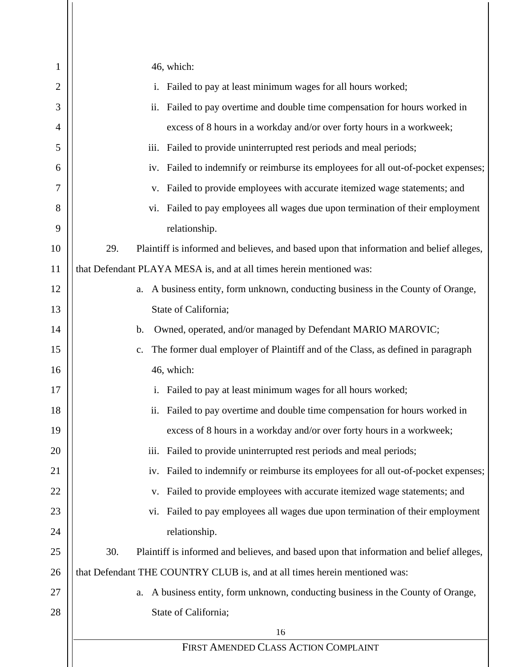| 1  | 46, which:                                                                                        |
|----|---------------------------------------------------------------------------------------------------|
| 2  | Failed to pay at least minimum wages for all hours worked;<br>i.                                  |
| 3  | Failed to pay overtime and double time compensation for hours worked in<br>ii.                    |
| 4  | excess of 8 hours in a workday and/or over forty hours in a workweek;                             |
| 5  | Failed to provide uninterrupted rest periods and meal periods;<br>iii.                            |
| 6  | iv. Failed to indemnify or reimburse its employees for all out-of-pocket expenses;                |
| 7  | Failed to provide employees with accurate itemized wage statements; and<br>V.                     |
| 8  | vi. Failed to pay employees all wages due upon termination of their employment                    |
| 9  | relationship.                                                                                     |
| 10 | 29.<br>Plaintiff is informed and believes, and based upon that information and belief alleges,    |
| 11 | that Defendant PLAYA MESA is, and at all times herein mentioned was:                              |
| 12 | A business entity, form unknown, conducting business in the County of Orange,<br>a.               |
| 13 | State of California;                                                                              |
| 14 | Owned, operated, and/or managed by Defendant MARIO MAROVIC;<br>$\mathbf b$ .                      |
| 15 | The former dual employer of Plaintiff and of the Class, as defined in paragraph<br>$\mathbf{c}$ . |
| 16 | 46, which:                                                                                        |
| 17 | Failed to pay at least minimum wages for all hours worked;<br>$\mathbf{i}$ .                      |
| 18 | Failed to pay overtime and double time compensation for hours worked in<br>ii.                    |
| 19 | excess of 8 hours in a workday and/or over forty hours in a workweek;                             |
| 20 | Failed to provide uninterrupted rest periods and meal periods;<br>iii.                            |
| 21 | Failed to indemnify or reimburse its employees for all out-of-pocket expenses;<br>iv.             |
| 22 | Failed to provide employees with accurate itemized wage statements; and<br>v.                     |
| 23 | Failed to pay employees all wages due upon termination of their employment<br>V1.                 |
| 24 | relationship.                                                                                     |
| 25 | 30.<br>Plaintiff is informed and believes, and based upon that information and belief alleges,    |
| 26 | that Defendant THE COUNTRY CLUB is, and at all times herein mentioned was:                        |
| 27 | A business entity, form unknown, conducting business in the County of Orange,<br>a.               |
| 28 | State of California;                                                                              |
|    | 16                                                                                                |
|    | FIRST AMENDED CLASS ACTION COMPLAINT                                                              |
|    |                                                                                                   |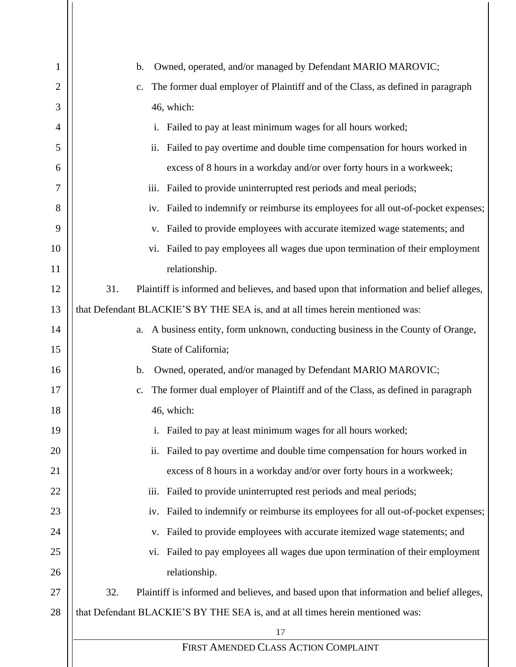| 1  | Owned, operated, and/or managed by Defendant MARIO MAROVIC;<br>$\mathbf b$ .                   |
|----|------------------------------------------------------------------------------------------------|
| 2  | The former dual employer of Plaintiff and of the Class, as defined in paragraph<br>c.          |
| 3  | 46, which:                                                                                     |
| 4  | i. Failed to pay at least minimum wages for all hours worked;                                  |
| 5  | ii. Failed to pay overtime and double time compensation for hours worked in                    |
| 6  | excess of 8 hours in a workday and/or over forty hours in a workweek;                          |
| 7  | iii. Failed to provide uninterrupted rest periods and meal periods;                            |
| 8  | iv. Failed to indemnify or reimburse its employees for all out-of-pocket expenses;             |
| 9  | v. Failed to provide employees with accurate itemized wage statements; and                     |
| 10 | vi. Failed to pay employees all wages due upon termination of their employment                 |
| 11 | relationship.                                                                                  |
| 12 | 31.<br>Plaintiff is informed and believes, and based upon that information and belief alleges, |
| 13 | that Defendant BLACKIE'S BY THE SEA is, and at all times herein mentioned was:                 |
| 14 | a. A business entity, form unknown, conducting business in the County of Orange,               |
| 15 | State of California;                                                                           |
| 16 | Owned, operated, and/or managed by Defendant MARIO MAROVIC;<br>$\mathbf{b}$ .                  |
| 17 | The former dual employer of Plaintiff and of the Class, as defined in paragraph                |
| 18 | 46, which:                                                                                     |
| 19 | Failed to pay at least minimum wages for all hours worked;<br>$\mathbf{i}$ .                   |
| 20 | Failed to pay overtime and double time compensation for hours worked in<br>ii.                 |
| 21 | excess of 8 hours in a workday and/or over forty hours in a workweek;                          |
| 22 | iii. Failed to provide uninterrupted rest periods and meal periods;                            |
| 23 | iv. Failed to indemnify or reimburse its employees for all out-of-pocket expenses;             |
| 24 | Failed to provide employees with accurate itemized wage statements; and<br>V.                  |
| 25 | vi. Failed to pay employees all wages due upon termination of their employment                 |
| 26 | relationship.                                                                                  |
| 27 | 32.<br>Plaintiff is informed and believes, and based upon that information and belief alleges, |
| 28 | that Defendant BLACKIE'S BY THE SEA is, and at all times herein mentioned was:                 |
|    | 17                                                                                             |
|    | FIRST AMENDED CLASS ACTION COMPLAINT                                                           |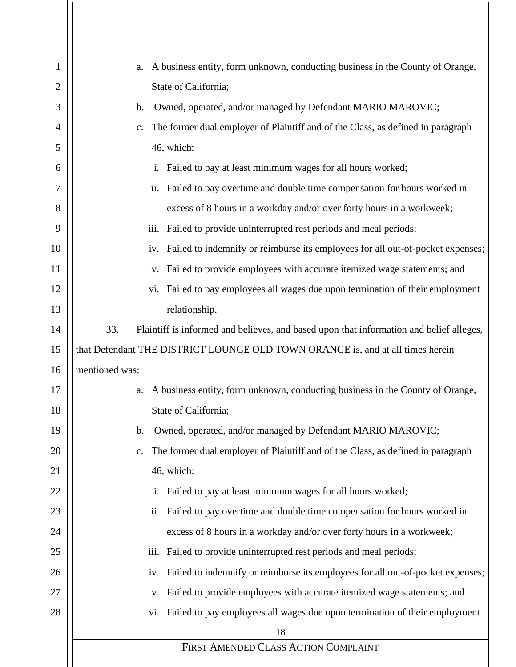| $\mathbf{1}$ | A business entity, form unknown, conducting business in the County of Orange,<br>a.            |
|--------------|------------------------------------------------------------------------------------------------|
| 2            | State of California;                                                                           |
| 3            | Owned, operated, and/or managed by Defendant MARIO MAROVIC;<br>b.                              |
| 4            | The former dual employer of Plaintiff and of the Class, as defined in paragraph<br>c.          |
| 5            | 46, which:                                                                                     |
| 6            | i. Failed to pay at least minimum wages for all hours worked;                                  |
| 7            | Failed to pay overtime and double time compensation for hours worked in<br>ii.                 |
| 8            | excess of 8 hours in a workday and/or over forty hours in a workweek;                          |
| 9            | iii. Failed to provide uninterrupted rest periods and meal periods;                            |
| 10           | iv. Failed to indemnify or reimburse its employees for all out-of-pocket expenses;             |
| 11           | Failed to provide employees with accurate itemized wage statements; and<br>V.                  |
| 12           | Failed to pay employees all wages due upon termination of their employment<br>V1.              |
| 13           | relationship.                                                                                  |
| 14           | 33.<br>Plaintiff is informed and believes, and based upon that information and belief alleges, |
| 15           | that Defendant THE DISTRICT LOUNGE OLD TOWN ORANGE is, and at all times herein                 |
| 16           | mentioned was:                                                                                 |
| 17           | A business entity, form unknown, conducting business in the County of Orange,<br>a.            |
| 18           | State of California;                                                                           |
| 19           | Owned, operated, and/or managed by Defendant MARIO MAROVIC;<br>b.                              |
| 20           | The former dual employer of Plaintiff and of the Class, as defined in paragraph<br>c.          |
| 21           | 46, which:                                                                                     |
| 22           | Failed to pay at least minimum wages for all hours worked;<br>i.                               |
| 23           | Failed to pay overtime and double time compensation for hours worked in<br>ii.                 |
| 24           | excess of 8 hours in a workday and/or over forty hours in a workweek;                          |
| 25           | Failed to provide uninterrupted rest periods and meal periods;<br>iii.                         |
| 26           | Failed to indemnify or reimburse its employees for all out-of-pocket expenses;<br>iv.          |
| 27           | Failed to provide employees with accurate itemized wage statements; and<br>V.                  |
| 28           | vi. Failed to pay employees all wages due upon termination of their employment                 |
|              | 18                                                                                             |
|              | FIRST AMENDED CLASS ACTION COMPLAINT                                                           |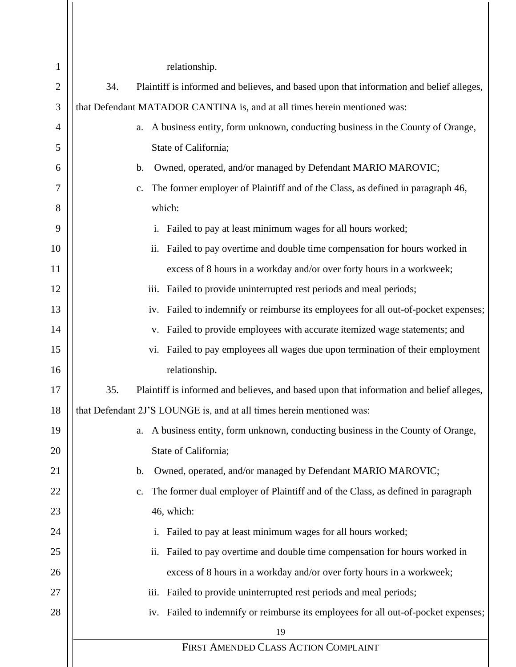| $\mathbf{1}$ | relationship.                                                                                     |
|--------------|---------------------------------------------------------------------------------------------------|
| 2            | 34.<br>Plaintiff is informed and believes, and based upon that information and belief alleges,    |
| 3            | that Defendant MATADOR CANTINA is, and at all times herein mentioned was:                         |
| 4            | A business entity, form unknown, conducting business in the County of Orange,<br>a.               |
| 5            | State of California;                                                                              |
| 6            | Owned, operated, and/or managed by Defendant MARIO MAROVIC;<br>b.                                 |
| 7            | The former employer of Plaintiff and of the Class, as defined in paragraph 46,<br>c.              |
| 8            | which:                                                                                            |
| 9            | Failed to pay at least minimum wages for all hours worked;<br>$\mathbf{1}$ .                      |
| 10           | Failed to pay overtime and double time compensation for hours worked in<br>11.                    |
| 11           | excess of 8 hours in a workday and/or over forty hours in a workweek;                             |
| 12           | iii. Failed to provide uninterrupted rest periods and meal periods;                               |
| 13           | iv. Failed to indemnify or reimburse its employees for all out-of-pocket expenses;                |
| 14           | Failed to provide employees with accurate itemized wage statements; and<br>V.                     |
| 15           | vi. Failed to pay employees all wages due upon termination of their employment                    |
| 16           | relationship.                                                                                     |
| 17           | 35.<br>Plaintiff is informed and believes, and based upon that information and belief alleges,    |
| 18           | that Defendant 2J'S LOUNGE is, and at all times herein mentioned was:                             |
| 19           | a. A business entity, form unknown, conducting business in the County of Orange,                  |
| 20           | State of California;                                                                              |
| 21           | Owned, operated, and/or managed by Defendant MARIO MAROVIC;<br>b.                                 |
| 22           | The former dual employer of Plaintiff and of the Class, as defined in paragraph<br>$\mathbf{c}$ . |
| 23           | 46, which:                                                                                        |
| 24           | i. Failed to pay at least minimum wages for all hours worked;                                     |
| 25           | ii. Failed to pay overtime and double time compensation for hours worked in                       |
| 26           | excess of 8 hours in a workday and/or over forty hours in a workweek;                             |
| 27           | iii. Failed to provide uninterrupted rest periods and meal periods;                               |
| 28           | iv. Failed to indemnify or reimburse its employees for all out-of-pocket expenses;                |
|              | 19                                                                                                |
|              | FIRST AMENDED CLASS ACTION COMPLAINT                                                              |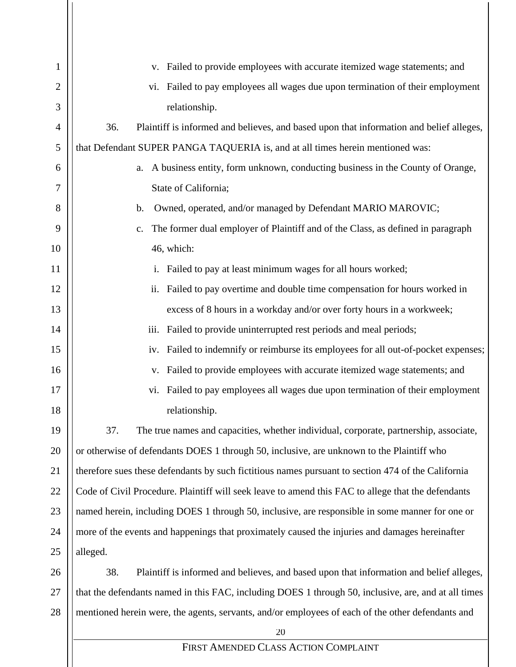| 1  | Failed to provide employees with accurate itemized wage statements; and<br>V.                        |
|----|------------------------------------------------------------------------------------------------------|
| 2  | Failed to pay employees all wages due upon termination of their employment<br>vi.                    |
| 3  | relationship.                                                                                        |
| 4  | 36.<br>Plaintiff is informed and believes, and based upon that information and belief alleges,       |
| 5  | that Defendant SUPER PANGA TAQUERIA is, and at all times herein mentioned was:                       |
| 6  | A business entity, form unknown, conducting business in the County of Orange,<br>a.                  |
| 7  | State of California;                                                                                 |
| 8  | Owned, operated, and/or managed by Defendant MARIO MAROVIC;<br>$\mathbf b$ .                         |
| 9  | The former dual employer of Plaintiff and of the Class, as defined in paragraph<br>c.                |
| 10 | 46, which:                                                                                           |
| 11 | Failed to pay at least minimum wages for all hours worked;<br>i.                                     |
| 12 | Failed to pay overtime and double time compensation for hours worked in<br>ii.                       |
| 13 | excess of 8 hours in a workday and/or over forty hours in a workweek;                                |
| 14 | iii.<br>Failed to provide uninterrupted rest periods and meal periods;                               |
| 15 | Failed to indemnify or reimburse its employees for all out-of-pocket expenses;<br>iv.                |
| 16 | Failed to provide employees with accurate itemized wage statements; and<br>V.                        |
| 17 | Failed to pay employees all wages due upon termination of their employment<br>vi.                    |
| 18 | relationship.                                                                                        |
| 19 | The true names and capacities, whether individual, corporate, partnership, associate,<br>37.         |
| 20 | or otherwise of defendants DOES 1 through 50, inclusive, are unknown to the Plaintiff who            |
| 21 | therefore sues these defendants by such fictitious names pursuant to section 474 of the California   |
| 22 | Code of Civil Procedure. Plaintiff will seek leave to amend this FAC to allege that the defendants   |
| 23 | named herein, including DOES 1 through 50, inclusive, are responsible in some manner for one or      |
| 24 | more of the events and happenings that proximately caused the injuries and damages hereinafter       |
| 25 | alleged.                                                                                             |
| 26 | 38.<br>Plaintiff is informed and believes, and based upon that information and belief alleges,       |
| 27 | that the defendants named in this FAC, including DOES 1 through 50, inclusive, are, and at all times |
| 28 | mentioned herein were, the agents, servants, and/or employees of each of the other defendants and    |
|    | 20                                                                                                   |
|    | FIRST AMENDED CLASS ACTION COMPLAINT                                                                 |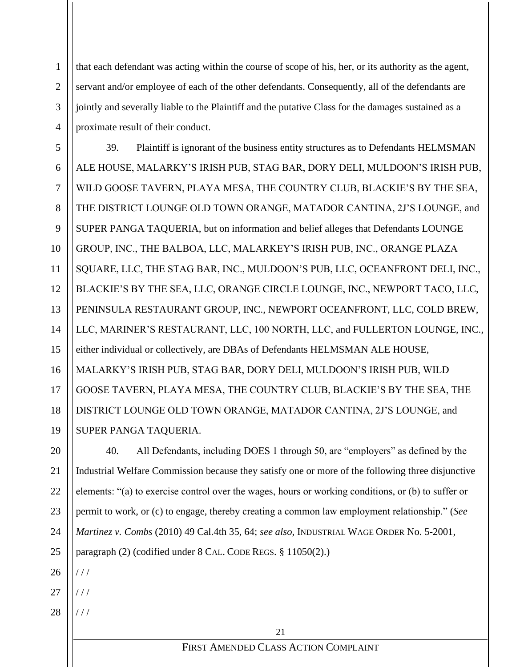that each defendant was acting within the course of scope of his, her, or its authority as the agent, servant and/or employee of each of the other defendants. Consequently, all of the defendants are jointly and severally liable to the Plaintiff and the putative Class for the damages sustained as a proximate result of their conduct.

39. Plaintiff is ignorant of the business entity structures as to Defendants HELMSMAN ALE HOUSE, MALARKY'S IRISH PUB, STAG BAR, DORY DELI, MULDOON'S IRISH PUB, WILD GOOSE TAVERN, PLAYA MESA, THE COUNTRY CLUB, BLACKIE'S BY THE SEA, THE DISTRICT LOUNGE OLD TOWN ORANGE, MATADOR CANTINA, 2J'S LOUNGE, and SUPER PANGA TAQUERIA, but on information and belief alleges that Defendants LOUNGE GROUP, INC., THE BALBOA, LLC, MALARKEY'S IRISH PUB, INC., ORANGE PLAZA SQUARE, LLC, THE STAG BAR, INC., MULDOON'S PUB, LLC, OCEANFRONT DELI, INC., BLACKIE'S BY THE SEA, LLC, ORANGE CIRCLE LOUNGE, INC., NEWPORT TACO, LLC, PENINSULA RESTAURANT GROUP, INC., NEWPORT OCEANFRONT, LLC, COLD BREW, LLC, MARINER'S RESTAURANT, LLC, 100 NORTH, LLC, and FULLERTON LOUNGE, INC., either individual or collectively, are DBAs of Defendants HELMSMAN ALE HOUSE, MALARKY'S IRISH PUB, STAG BAR, DORY DELI, MULDOON'S IRISH PUB, WILD GOOSE TAVERN, PLAYA MESA, THE COUNTRY CLUB, BLACKIE'S BY THE SEA, THE DISTRICT LOUNGE OLD TOWN ORANGE, MATADOR CANTINA, 2J'S LOUNGE, and SUPER PANGA TAQUERIA.

20 22 23 24 40. All Defendants, including DOES 1 through 50, are "employers" as defined by the Industrial Welfare Commission because they satisfy one or more of the following three disjunctive elements: "(a) to exercise control over the wages, hours or working conditions, or (b) to suffer or permit to work, or (c) to engage, thereby creating a common law employment relationship." (*See Martinez v. Combs* (2010) 49 Cal.4th 35, 64; *see also*, INDUSTRIAL WAGE ORDER No. 5-2001, paragraph (2) (codified under 8 CAL. CODE REGS. § 11050(2).)

26  $1/1$ 

25

1

2

3

4

5

6

7

8

9

10

11

12

13

14

15

16

17

18

19

21

- 27 / / /
- 28 / / /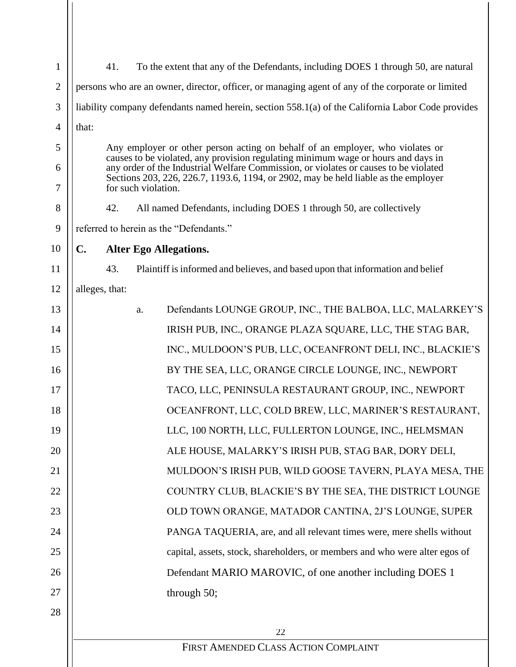| $\mathbf{1}$   |                                                                                                                                                                           | 41.                                                                                                        | To the extent that any of the Defendants, including DOES 1 through 50, are natural |  |
|----------------|---------------------------------------------------------------------------------------------------------------------------------------------------------------------------|------------------------------------------------------------------------------------------------------------|------------------------------------------------------------------------------------|--|
| $\overline{2}$ | persons who are an owner, director, officer, or managing agent of any of the corporate or limited                                                                         |                                                                                                            |                                                                                    |  |
| 3              | liability company defendants named herein, section 558.1(a) of the California Labor Code provides                                                                         |                                                                                                            |                                                                                    |  |
| $\overline{4}$ | that:                                                                                                                                                                     |                                                                                                            |                                                                                    |  |
| 5              | Any employer or other person acting on behalf of an employer, who violates or                                                                                             |                                                                                                            |                                                                                    |  |
| 6              | causes to be violated, any provision regulating minimum wage or hours and days in<br>any order of the Industrial Welfare Commission, or violates or causes to be violated |                                                                                                            |                                                                                    |  |
| 7              |                                                                                                                                                                           | Sections 203, 226, 226.7, 1193.6, 1194, or 2902, may be held liable as the employer<br>for such violation. |                                                                                    |  |
| 8              |                                                                                                                                                                           | 42.                                                                                                        | All named Defendants, including DOES 1 through 50, are collectively                |  |
| 9              |                                                                                                                                                                           |                                                                                                            | referred to herein as the "Defendants."                                            |  |
| 10             | C.                                                                                                                                                                        |                                                                                                            | <b>Alter Ego Allegations.</b>                                                      |  |
| 11             |                                                                                                                                                                           | 43.                                                                                                        | Plaintiff is informed and believes, and based upon that information and belief     |  |
| 12             |                                                                                                                                                                           | alleges, that:                                                                                             |                                                                                    |  |
| 13             |                                                                                                                                                                           |                                                                                                            | Defendants LOUNGE GROUP, INC., THE BALBOA, LLC, MALARKEY'S<br>a.                   |  |
| 14             |                                                                                                                                                                           |                                                                                                            | IRISH PUB, INC., ORANGE PLAZA SQUARE, LLC, THE STAG BAR,                           |  |
| 15             |                                                                                                                                                                           |                                                                                                            | INC., MULDOON'S PUB, LLC, OCEANFRONT DELI, INC., BLACKIE'S                         |  |
| 16             |                                                                                                                                                                           |                                                                                                            | BY THE SEA, LLC, ORANGE CIRCLE LOUNGE, INC., NEWPORT                               |  |
| 17             |                                                                                                                                                                           |                                                                                                            | TACO, LLC, PENINSULA RESTAURANT GROUP, INC., NEWPORT                               |  |
| 18             | OCEANFRONT, LLC, COLD BREW, LLC, MARINER'S RESTAURANT,                                                                                                                    |                                                                                                            |                                                                                    |  |
| 19             |                                                                                                                                                                           |                                                                                                            | LLC, 100 NORTH, LLC, FULLERTON LOUNGE, INC., HELMSMAN                              |  |
| 20             |                                                                                                                                                                           |                                                                                                            | ALE HOUSE, MALARKY'S IRISH PUB, STAG BAR, DORY DELI,                               |  |
| 21             |                                                                                                                                                                           |                                                                                                            | MULDOON'S IRISH PUB, WILD GOOSE TAVERN, PLAYA MESA, THE                            |  |
| 22             |                                                                                                                                                                           |                                                                                                            | COUNTRY CLUB, BLACKIE'S BY THE SEA, THE DISTRICT LOUNGE                            |  |
| 23             |                                                                                                                                                                           |                                                                                                            | OLD TOWN ORANGE, MATADOR CANTINA, 2J'S LOUNGE, SUPER                               |  |
| 24             |                                                                                                                                                                           |                                                                                                            | PANGA TAQUERIA, are, and all relevant times were, mere shells without              |  |
| 25             |                                                                                                                                                                           |                                                                                                            | capital, assets, stock, shareholders, or members and who were alter egos of        |  |
| 26             |                                                                                                                                                                           |                                                                                                            | Defendant MARIO MAROVIC, of one another including DOES 1                           |  |
| 27             |                                                                                                                                                                           |                                                                                                            | through $50$ ;                                                                     |  |
| 28             |                                                                                                                                                                           |                                                                                                            |                                                                                    |  |
|                |                                                                                                                                                                           |                                                                                                            | 22                                                                                 |  |
|                |                                                                                                                                                                           |                                                                                                            | FIRST AMENDED CLASS ACTION COMPLAINT                                               |  |
|                |                                                                                                                                                                           |                                                                                                            |                                                                                    |  |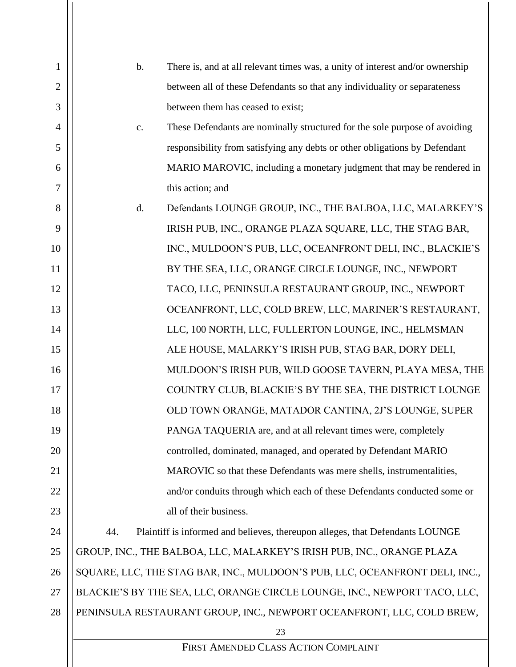| 1              | $\mathbf b$ . | There is, and at all relevant times was, a unity of interest and/or ownership |
|----------------|---------------|-------------------------------------------------------------------------------|
| $\overline{2}$ |               | between all of these Defendants so that any individuality or separateness     |
| 3              |               | between them has ceased to exist;                                             |
| 4              | $C_{\bullet}$ | These Defendants are nominally structured for the sole purpose of avoiding    |
| 5              |               | responsibility from satisfying any debts or other obligations by Defendant    |
| 6              |               | MARIO MAROVIC, including a monetary judgment that may be rendered in          |
| 7              |               | this action; and                                                              |
| 8              | d.            | Defendants LOUNGE GROUP, INC., THE BALBOA, LLC, MALARKEY'S                    |
| 9              |               | IRISH PUB, INC., ORANGE PLAZA SQUARE, LLC, THE STAG BAR,                      |
| 10             |               | INC., MULDOON'S PUB, LLC, OCEANFRONT DELI, INC., BLACKIE'S                    |
| 11             |               | BY THE SEA, LLC, ORANGE CIRCLE LOUNGE, INC., NEWPORT                          |
| 12             |               | TACO, LLC, PENINSULA RESTAURANT GROUP, INC., NEWPORT                          |
| 13             |               | OCEANFRONT, LLC, COLD BREW, LLC, MARINER'S RESTAURANT,                        |
| 14             |               | LLC, 100 NORTH, LLC, FULLERTON LOUNGE, INC., HELMSMAN                         |
| 15             |               | ALE HOUSE, MALARKY'S IRISH PUB, STAG BAR, DORY DELI,                          |
| 16             |               | MULDOON'S IRISH PUB, WILD GOOSE TAVERN, PLAYA MESA, THE                       |
| 17             |               | COUNTRY CLUB, BLACKIE'S BY THE SEA, THE DISTRICT LOUNGE                       |
| 18             |               | OLD TOWN ORANGE, MATADOR CANTINA, 2J'S LOUNGE, SUPER                          |
| 19             |               | PANGA TAQUERIA are, and at all relevant times were, completely                |
| 20             |               | controlled, dominated, managed, and operated by Defendant MARIO               |
| 21             |               | MAROVIC so that these Defendants was mere shells, instrumentalities,          |
| 22             |               | and/or conduits through which each of these Defendants conducted some or      |
| 23             |               | all of their business.                                                        |
| 24             | 44.           | Plaintiff is informed and believes, thereupon alleges, that Defendants LOUNGE |
| 25             |               | GROUP, INC., THE BALBOA, LLC, MALARKEY'S IRISH PUB, INC., ORANGE PLAZA        |
| 26             |               | SQUARE, LLC, THE STAG BAR, INC., MULDOON'S PUB, LLC, OCEANFRONT DELI, INC.,   |
| 27             |               | BLACKIE'S BY THE SEA, LLC, ORANGE CIRCLE LOUNGE, INC., NEWPORT TACO, LLC,     |
| 28             |               | PENINSULA RESTAURANT GROUP, INC., NEWPORT OCEANFRONT, LLC, COLD BREW,         |
|                |               | 23                                                                            |
|                |               | FIRST AMENDED CLASS ACTION COMPLAINT                                          |
|                |               |                                                                               |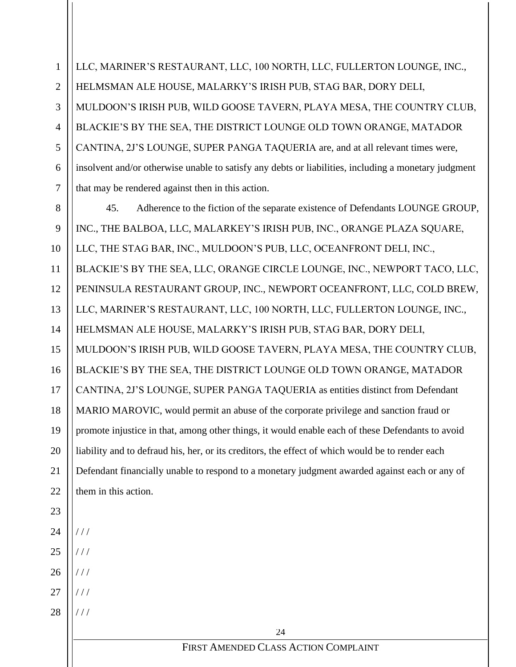1 2 3 4 5 6 7 LLC, MARINER'S RESTAURANT, LLC, 100 NORTH, LLC, FULLERTON LOUNGE, INC., HELMSMAN ALE HOUSE, MALARKY'S IRISH PUB, STAG BAR, DORY DELI, MULDOON'S IRISH PUB, WILD GOOSE TAVERN, PLAYA MESA, THE COUNTRY CLUB, BLACKIE'S BY THE SEA, THE DISTRICT LOUNGE OLD TOWN ORANGE, MATADOR CANTINA, 2J'S LOUNGE, SUPER PANGA TAQUERIA are, and at all relevant times were, insolvent and/or otherwise unable to satisfy any debts or liabilities, including a monetary judgment that may be rendered against then in this action.

8 9 10 11 12 13 14 15 45. Adherence to the fiction of the separate existence of Defendants LOUNGE GROUP, INC., THE BALBOA, LLC, MALARKEY'S IRISH PUB, INC., ORANGE PLAZA SQUARE, LLC, THE STAG BAR, INC., MULDOON'S PUB, LLC, OCEANFRONT DELI, INC., BLACKIE'S BY THE SEA, LLC, ORANGE CIRCLE LOUNGE, INC., NEWPORT TACO, LLC, PENINSULA RESTAURANT GROUP, INC., NEWPORT OCEANFRONT, LLC, COLD BREW, LLC, MARINER'S RESTAURANT, LLC, 100 NORTH, LLC, FULLERTON LOUNGE, INC., HELMSMAN ALE HOUSE, MALARKY'S IRISH PUB, STAG BAR, DORY DELI, MULDOON'S IRISH PUB, WILD GOOSE TAVERN, PLAYA MESA, THE COUNTRY CLUB, BLACKIE'S BY THE SEA, THE DISTRICT LOUNGE OLD TOWN ORANGE, MATADOR CANTINA, 2J'S LOUNGE, SUPER PANGA TAQUERIA as entities distinct from Defendant MARIO MAROVIC, would permit an abuse of the corporate privilege and sanction fraud or promote injustice in that, among other things, it would enable each of these Defendants to avoid liability and to defraud his, her, or its creditors, the effect of which would be to render each Defendant financially unable to respond to a monetary judgment awarded against each or any of them in this action.

28 / / / / / /

 $1/1$ 

 $1/1$ 

 $1/1$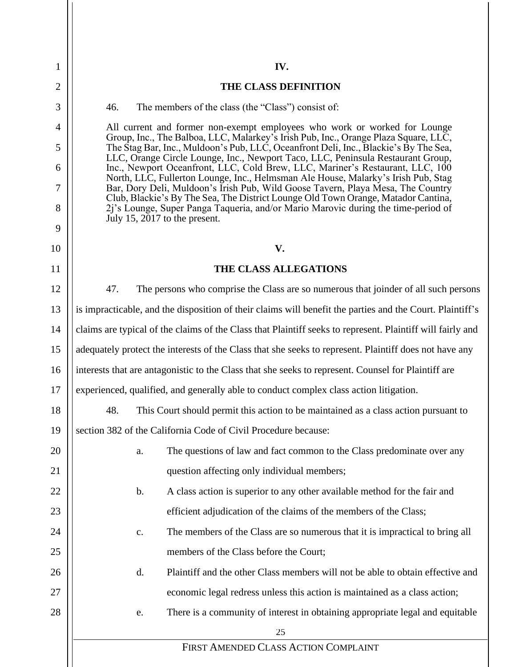**IV. THE CLASS DEFINITION** 46. The members of the class (the "Class") consist of: All current and former non-exempt employees who work or worked for Lounge Group, Inc., The Balboa, LLC, Malarkey's Irish Pub, Inc., Orange Plaza Square, LLC, The Stag Bar, Inc., Muldoon's Pub, LLC, Oceanfront Deli, Inc., Blackie's By The Sea, LLC, Orange Circle Lounge, Inc., Newport Taco, LLC, Peninsula Restaurant Group, Inc., Newport Oceanfront, LLC, Cold Brew, LLC, Mariner's Restaurant, LLC, 100 North, LLC, Fullerton Lounge, Inc., Helmsman Ale House, Malarky's Irish Pub, Stag Bar, Dory Deli, Muldoon's Irish Pub, Wild Goose Tavern, Playa Mesa, The Country Club, Blackie's By The Sea, The District Lounge Old Town Orange, Matador Cantina, 2j's Lounge, Super Panga Taqueria, and/or Mario Marovic during the time-period of July 15, 2017 to the present. **V. THE CLASS ALLEGATIONS**

1

2

3

4

5

6

7

8

9

10

11

13

17

18

19

12 14 15 16 47. The persons who comprise the Class are so numerous that joinder of all such persons is impracticable, and the disposition of their claims will benefit the parties and the Court. Plaintiff's claims are typical of the claims of the Class that Plaintiff seeks to represent. Plaintiff will fairly and adequately protect the interests of the Class that she seeks to represent. Plaintiff does not have any interests that are antagonistic to the Class that she seeks to represent. Counsel for Plaintiff are experienced, qualified, and generally able to conduct complex class action litigation.

48. This Court should permit this action to be maintained as a class action pursuant to section 382 of the California Code of Civil Procedure because:

25 FIRST AMENDED CLASS ACTION COMPLAINT 20 21 22 23 24 25 26 27 28 a. The questions of law and fact common to the Class predominate over any question affecting only individual members; b. A class action is superior to any other available method for the fair and efficient adjudication of the claims of the members of the Class; c. The members of the Class are so numerous that it is impractical to bring all members of the Class before the Court; d. Plaintiff and the other Class members will not be able to obtain effective and economic legal redress unless this action is maintained as a class action; e. There is a community of interest in obtaining appropriate legal and equitable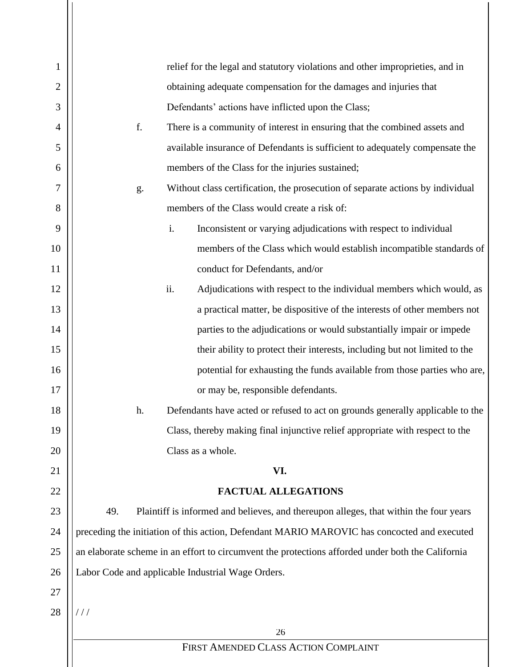| $\mathbf{1}$   | relief for the legal and statutory violations and other improprieties, and in                     |
|----------------|---------------------------------------------------------------------------------------------------|
| $\overline{2}$ | obtaining adequate compensation for the damages and injuries that                                 |
| 3              | Defendants' actions have inflicted upon the Class;                                                |
| 4              | f.<br>There is a community of interest in ensuring that the combined assets and                   |
| 5              | available insurance of Defendants is sufficient to adequately compensate the                      |
| 6              | members of the Class for the injuries sustained;                                                  |
| 7              | Without class certification, the prosecution of separate actions by individual<br>g.              |
| 8              | members of the Class would create a risk of:                                                      |
| 9              | i.<br>Inconsistent or varying adjudications with respect to individual                            |
| 10             | members of the Class which would establish incompatible standards of                              |
| 11             | conduct for Defendants, and/or                                                                    |
| 12             | ii.<br>Adjudications with respect to the individual members which would, as                       |
| 13             | a practical matter, be dispositive of the interests of other members not                          |
| 14             | parties to the adjudications or would substantially impair or impede                              |
| 15             | their ability to protect their interests, including but not limited to the                        |
| 16             | potential for exhausting the funds available from those parties who are,                          |
| 17             | or may be, responsible defendants.                                                                |
| 18             | Defendants have acted or refused to act on grounds generally applicable to the<br>h.              |
| 19             | Class, thereby making final injunctive relief appropriate with respect to the                     |
| 20             | Class as a whole.                                                                                 |
| 21             | VI.                                                                                               |
| 22             | <b>FACTUAL ALLEGATIONS</b>                                                                        |
| 23             | 49.<br>Plaintiff is informed and believes, and thereupon alleges, that within the four years      |
| 24             | preceding the initiation of this action, Defendant MARIO MAROVIC has concocted and executed       |
| 25             | an elaborate scheme in an effort to circumvent the protections afforded under both the California |
| 26             | Labor Code and applicable Industrial Wage Orders.                                                 |
| 27             |                                                                                                   |
| 28             | $\frac{1}{2}$                                                                                     |
|                | 26                                                                                                |
|                | FIRST AMENDED CLASS ACTION COMPLAINT                                                              |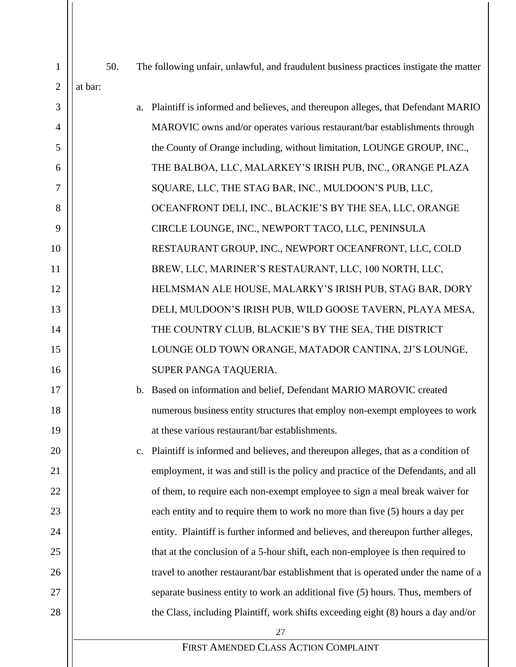| $\mathbf{1}$   | 50.     | The following unfair, unlawful, and fraudulent business practices instigate the matter  |
|----------------|---------|-----------------------------------------------------------------------------------------|
| $\overline{2}$ | at bar: |                                                                                         |
| 3              |         | Plaintiff is informed and believes, and thereupon alleges, that Defendant MARIO<br>a.   |
| $\overline{4}$ |         | MAROVIC owns and/or operates various restaurant/bar establishments through              |
| 5              |         |                                                                                         |
|                |         | the County of Orange including, without limitation, LOUNGE GROUP, INC.,                 |
| 6              |         | THE BALBOA, LLC, MALARKEY'S IRISH PUB, INC., ORANGE PLAZA                               |
| 7              |         | SQUARE, LLC, THE STAG BAR, INC., MULDOON'S PUB, LLC,                                    |
| 8              |         | OCEANFRONT DELI, INC., BLACKIE'S BY THE SEA, LLC, ORANGE                                |
| 9              |         | CIRCLE LOUNGE, INC., NEWPORT TACO, LLC, PENINSULA                                       |
| 10             |         | RESTAURANT GROUP, INC., NEWPORT OCEANFRONT, LLC, COLD                                   |
| 11             |         | BREW, LLC, MARINER'S RESTAURANT, LLC, 100 NORTH, LLC,                                   |
| 12             |         | HELMSMAN ALE HOUSE, MALARKY'S IRISH PUB, STAG BAR, DORY                                 |
| 13             |         | DELI, MULDOON'S IRISH PUB, WILD GOOSE TAVERN, PLAYA MESA,                               |
| 14             |         | THE COUNTRY CLUB, BLACKIE'S BY THE SEA, THE DISTRICT                                    |
| 15             |         | LOUNGE OLD TOWN ORANGE, MATADOR CANTINA, 2J'S LOUNGE,                                   |
| 16             |         | SUPER PANGA TAQUERIA.                                                                   |
| 17             |         | b. Based on information and belief, Defendant MARIO MAROVIC created                     |
| 18             |         | numerous business entity structures that employ non-exempt employees to work            |
| 19             |         | at these various restaurant/bar establishments.                                         |
| 20             |         | Plaintiff is informed and believes, and thereupon alleges, that as a condition of<br>c. |
| 21             |         | employment, it was and still is the policy and practice of the Defendants, and all      |
| 22             |         | of them, to require each non-exempt employee to sign a meal break waiver for            |
| 23             |         | each entity and to require them to work no more than five (5) hours a day per           |
| 24             |         | entity. Plaintiff is further informed and believes, and thereupon further alleges,      |
| 25             |         | that at the conclusion of a 5-hour shift, each non-employee is then required to         |
| 26             |         | travel to another restaurant/bar establishment that is operated under the name of a     |
| 27             |         | separate business entity to work an additional five (5) hours. Thus, members of         |
| 28             |         | the Class, including Plaintiff, work shifts exceeding eight (8) hours a day and/or      |
|                |         | 27                                                                                      |
|                |         | FIRST AMENDED CLASS ACTION COMPLAINT                                                    |
|                |         |                                                                                         |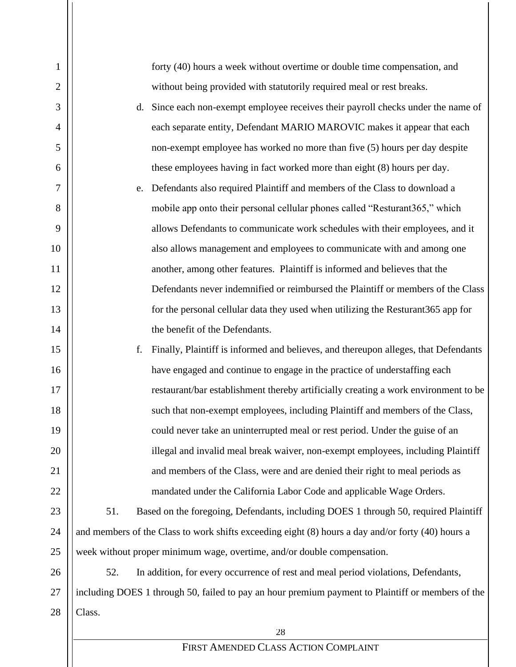| 1              | forty (40) hours a week without overtime or double time compensation, and                         |
|----------------|---------------------------------------------------------------------------------------------------|
| $\overline{c}$ | without being provided with statutorily required meal or rest breaks.                             |
| 3              | d. Since each non-exempt employee receives their payroll checks under the name of                 |
| $\overline{4}$ | each separate entity, Defendant MARIO MAROVIC makes it appear that each                           |
| 5              | non-exempt employee has worked no more than five (5) hours per day despite                        |
| 6              | these employees having in fact worked more than eight (8) hours per day.                          |
| 7              | Defendants also required Plaintiff and members of the Class to download a<br>e.                   |
| 8              | mobile app onto their personal cellular phones called "Resturant365," which                       |
| 9              | allows Defendants to communicate work schedules with their employees, and it                      |
| 10             | also allows management and employees to communicate with and among one                            |
| 11             | another, among other features. Plaintiff is informed and believes that the                        |
| 12             | Defendants never indemnified or reimbursed the Plaintiff or members of the Class                  |
| 13             | for the personal cellular data they used when utilizing the Resturant 365 app for                 |
| 14             | the benefit of the Defendants.                                                                    |
| 15             | f.<br>Finally, Plaintiff is informed and believes, and thereupon alleges, that Defendants         |
| 16             | have engaged and continue to engage in the practice of understaffing each                         |
| 17             | restaurant/bar establishment thereby artificially creating a work environment to be               |
| 18             | such that non-exempt employees, including Plaintiff and members of the Class,                     |
| 19             | could never take an uninterrupted meal or rest period. Under the guise of an                      |
| 20             | illegal and invalid meal break waiver, non-exempt employees, including Plaintiff                  |
| 21             | and members of the Class, were and are denied their right to meal periods as                      |
| 22             | mandated under the California Labor Code and applicable Wage Orders.                              |
| 23             | 51.<br>Based on the foregoing, Defendants, including DOES 1 through 50, required Plaintiff        |
| 24             | and members of the Class to work shifts exceeding eight (8) hours a day and/or forty (40) hours a |
| 25             | week without proper minimum wage, overtime, and/or double compensation.                           |
| 26             | 52.<br>In addition, for every occurrence of rest and meal period violations, Defendants,          |
| 27             | including DOES 1 through 50, failed to pay an hour premium payment to Plaintiff or members of the |
| 28             | Class.                                                                                            |
|                | 28                                                                                                |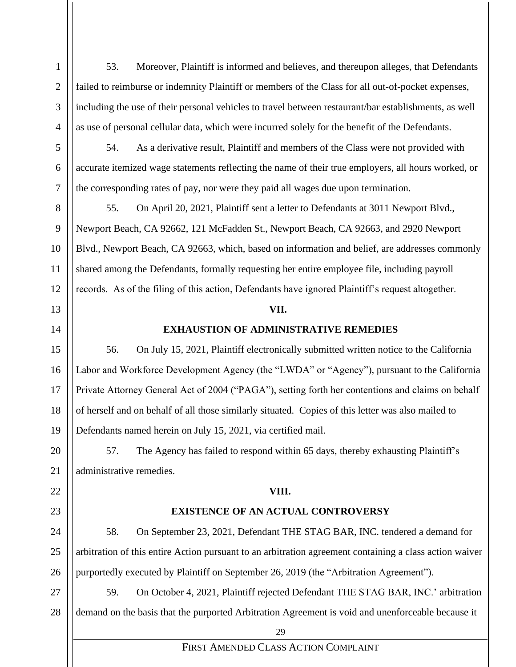53. Moreover, Plaintiff is informed and believes, and thereupon alleges, that Defendants failed to reimburse or indemnity Plaintiff or members of the Class for all out-of-pocket expenses, including the use of their personal vehicles to travel between restaurant/bar establishments, as well as use of personal cellular data, which were incurred solely for the benefit of the Defendants.

54. As a derivative result, Plaintiff and members of the Class were not provided with accurate itemized wage statements reflecting the name of their true employers, all hours worked, or the corresponding rates of pay, nor were they paid all wages due upon termination.

55. On April 20, 2021, Plaintiff sent a letter to Defendants at 3011 Newport Blvd., Newport Beach, CA 92662, 121 McFadden St., Newport Beach, CA 92663, and 2920 Newport Blvd., Newport Beach, CA 92663, which, based on information and belief, are addresses commonly shared among the Defendants, formally requesting her entire employee file, including payroll records. As of the filing of this action, Defendants have ignored Plaintiff's request altogether.

#### **VII.**

#### **EXHAUSTION OF ADMINISTRATIVE REMEDIES**

56. On July 15, 2021, Plaintiff electronically submitted written notice to the California Labor and Workforce Development Agency (the "LWDA" or "Agency"), pursuant to the California Private Attorney General Act of 2004 ("PAGA"), setting forth her contentions and claims on behalf of herself and on behalf of all those similarly situated. Copies of this letter was also mailed to Defendants named herein on July 15, 2021, via certified mail.

57. The Agency has failed to respond within 65 days, thereby exhausting Plaintiff's administrative remedies.

#### **VIII.**

### **EXISTENCE OF AN ACTUAL CONTROVERSY**

58. On September 23, 2021, Defendant THE STAG BAR, INC. tendered a demand for arbitration of this entire Action pursuant to an arbitration agreement containing a class action waiver purportedly executed by Plaintiff on September 26, 2019 (the "Arbitration Agreement").

59. On October 4, 2021, Plaintiff rejected Defendant THE STAG BAR, INC.' arbitration demand on the basis that the purported Arbitration Agreement is void and unenforceable because it

29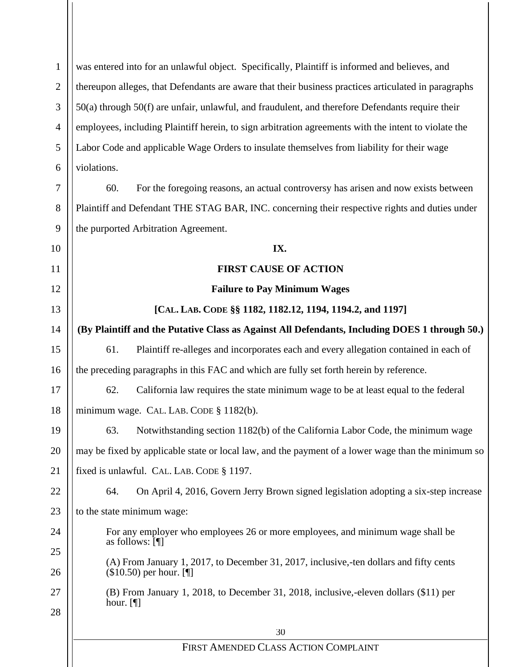30 FIRST AMENDED CLASS ACTION COMPLAINT 1 2 3 4 5 6 7 8 9 10 11 12 13 14 15 16 17 18 19 20 21 22 23 24 25 26 27 28 was entered into for an unlawful object. Specifically, Plaintiff is informed and believes, and thereupon alleges, that Defendants are aware that their business practices articulated in paragraphs 50(a) through 50(f) are unfair, unlawful, and fraudulent, and therefore Defendants require their employees, including Plaintiff herein, to sign arbitration agreements with the intent to violate the Labor Code and applicable Wage Orders to insulate themselves from liability for their wage violations. 60. For the foregoing reasons, an actual controversy has arisen and now exists between Plaintiff and Defendant THE STAG BAR, INC. concerning their respective rights and duties under the purported Arbitration Agreement. **IX. FIRST CAUSE OF ACTION Failure to Pay Minimum Wages [CAL. LAB. CODE §§ 1182, 1182.12, 1194, 1194.2, and 1197] (By Plaintiff and the Putative Class as Against All Defendants, Including DOES 1 through 50.)** 61. Plaintiff re-alleges and incorporates each and every allegation contained in each of the preceding paragraphs in this FAC and which are fully set forth herein by reference. 62. California law requires the state minimum wage to be at least equal to the federal minimum wage. CAL. LAB. CODE § 1182(b). 63. Notwithstanding section 1182(b) of the California Labor Code, the minimum wage may be fixed by applicable state or local law, and the payment of a lower wage than the minimum so fixed is unlawful. CAL. LAB. CODE § 1197. 64. On April 4, 2016, Govern Jerry Brown signed legislation adopting a six-step increase to the state minimum wage: For any employer who employees 26 or more employees, and minimum wage shall be as follows: [¶] (A) From January 1, 2017, to December 31, 2017, inclusive,-ten dollars and fifty cents (\$10.50) per hour. [¶] (B) From January 1, 2018, to December 31, 2018, inclusive,-eleven dollars (\$11) per hour. [¶]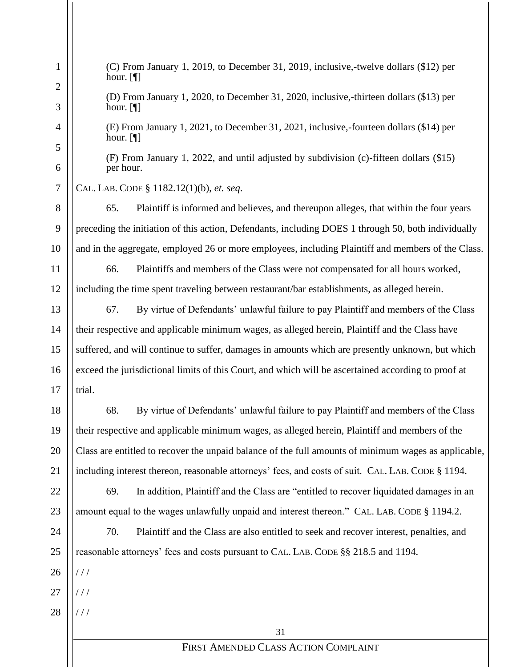31 FIRST AMENDED CLASS ACTION COMPLAINT 1 2 3 4 5 6 7 8 9 10 11 12 13 14 15 16 17 18 19 20 21 22 23 24 25 26 27 28 (C) From January 1, 2019, to December 31, 2019, inclusive,-twelve dollars (\$12) per hour. [¶] (D) From January 1, 2020, to December 31, 2020, inclusive,-thirteen dollars (\$13) per hour. [¶] (E) From January 1, 2021, to December 31, 2021, inclusive,-fourteen dollars (\$14) per hour. [¶] (F) From January 1, 2022, and until adjusted by subdivision (c)-fifteen dollars (\$15) per hour. CAL. LAB. CODE § 1182.12(1)(b), *et. seq*. 65. Plaintiff is informed and believes, and thereupon alleges, that within the four years preceding the initiation of this action, Defendants, including DOES 1 through 50, both individually and in the aggregate, employed 26 or more employees, including Plaintiff and members of the Class. 66. Plaintiffs and members of the Class were not compensated for all hours worked, including the time spent traveling between restaurant/bar establishments, as alleged herein. 67. By virtue of Defendants' unlawful failure to pay Plaintiff and members of the Class their respective and applicable minimum wages, as alleged herein, Plaintiff and the Class have suffered, and will continue to suffer, damages in amounts which are presently unknown, but which exceed the jurisdictional limits of this Court, and which will be ascertained according to proof at trial. 68. By virtue of Defendants' unlawful failure to pay Plaintiff and members of the Class their respective and applicable minimum wages, as alleged herein, Plaintiff and members of the Class are entitled to recover the unpaid balance of the full amounts of minimum wages as applicable, including interest thereon, reasonable attorneys' fees, and costs of suit. CAL. LAB. CODE § 1194. 69. In addition, Plaintiff and the Class are "entitled to recover liquidated damages in an amount equal to the wages unlawfully unpaid and interest thereon." CAL. LAB. CODE § 1194.2. 70. Plaintiff and the Class are also entitled to seek and recover interest, penalties, and reasonable attorneys' fees and costs pursuant to CAL. LAB. CODE §§ 218.5 and 1194.  $1/1$ / / / / / /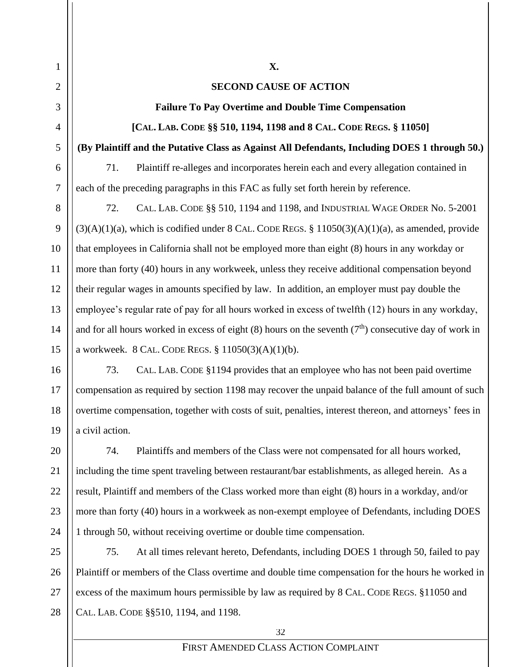#### **SECOND CAUSE OF ACTION**

**X.**

**Failure To Pay Overtime and Double Time Compensation**

**[CAL. LAB. CODE §§ 510, 1194, 1198 and 8 CAL. CODE REGS. § 11050]**

**(By Plaintiff and the Putative Class as Against All Defendants, Including DOES 1 through 50.)**

71. Plaintiff re-alleges and incorporates herein each and every allegation contained in each of the preceding paragraphs in this FAC as fully set forth herein by reference.

72. CAL. LAB. CODE §§ 510, 1194 and 1198, and INDUSTRIAL WAGE ORDER No. 5-2001  $(3)(A)(1)(a)$ , which is codified under 8 CAL. CODE REGS. § 11050 $(3)(A)(1)(a)$ , as amended, provide that employees in California shall not be employed more than eight (8) hours in any workday or more than forty (40) hours in any workweek, unless they receive additional compensation beyond their regular wages in amounts specified by law. In addition, an employer must pay double the employee's regular rate of pay for all hours worked in excess of twelfth (12) hours in any workday, and for all hours worked in excess of eight (8) hours on the seventh ( $7<sup>th</sup>$ ) consecutive day of work in a workweek. 8 CAL. CODE REGS. § 11050(3)(A)(1)(b).

73. CAL. LAB. CODE §1194 provides that an employee who has not been paid overtime compensation as required by section 1198 may recover the unpaid balance of the full amount of such overtime compensation, together with costs of suit, penalties, interest thereon, and attorneys' fees in a civil action.

74. Plaintiffs and members of the Class were not compensated for all hours worked, including the time spent traveling between restaurant/bar establishments, as alleged herein. As a result, Plaintiff and members of the Class worked more than eight (8) hours in a workday, and/or more than forty (40) hours in a workweek as non-exempt employee of Defendants, including DOES 1 through 50, without receiving overtime or double time compensation.

75. At all times relevant hereto, Defendants, including DOES 1 through 50, failed to pay Plaintiff or members of the Class overtime and double time compensation for the hours he worked in excess of the maximum hours permissible by law as required by 8 CAL. CODE REGS. §11050 and CAL. LAB. CODE §§510, 1194, and 1198.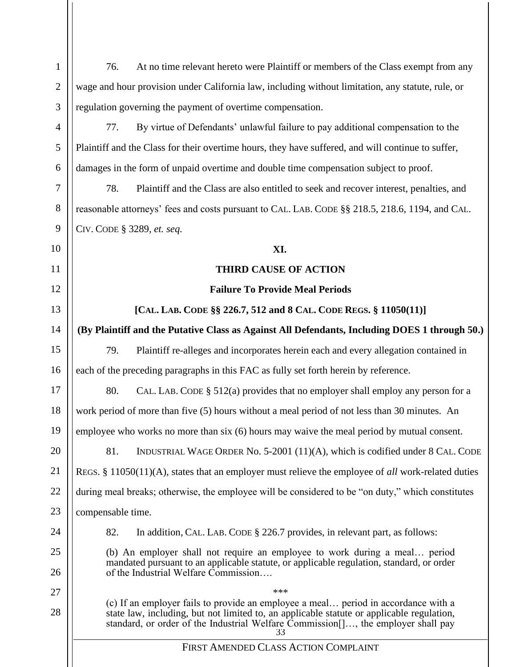| $\mathbf{1}$     | At no time relevant hereto were Plaintiff or members of the Class exempt from any<br>76.                                                                                                                                                                                   |  |  |
|------------------|----------------------------------------------------------------------------------------------------------------------------------------------------------------------------------------------------------------------------------------------------------------------------|--|--|
| $\mathbf{2}$     | wage and hour provision under California law, including without limitation, any statute, rule, or                                                                                                                                                                          |  |  |
| 3                | regulation governing the payment of overtime compensation.                                                                                                                                                                                                                 |  |  |
| $\overline{4}$   | By virtue of Defendants' unlawful failure to pay additional compensation to the<br>77.                                                                                                                                                                                     |  |  |
| 5                | Plaintiff and the Class for their overtime hours, they have suffered, and will continue to suffer,                                                                                                                                                                         |  |  |
| 6                | damages in the form of unpaid overtime and double time compensation subject to proof.                                                                                                                                                                                      |  |  |
| $\boldsymbol{7}$ | 78.<br>Plaintiff and the Class are also entitled to seek and recover interest, penalties, and                                                                                                                                                                              |  |  |
| 8                | reasonable attorneys' fees and costs pursuant to CAL. LAB. CODE §§ 218.5, 218.6, 1194, and CAL.                                                                                                                                                                            |  |  |
| 9                | CIV. CODE § 3289, et. seq.                                                                                                                                                                                                                                                 |  |  |
| 10               | XI.                                                                                                                                                                                                                                                                        |  |  |
| 11               | <b>THIRD CAUSE OF ACTION</b>                                                                                                                                                                                                                                               |  |  |
| 12               | <b>Failure To Provide Meal Periods</b>                                                                                                                                                                                                                                     |  |  |
| 13               | [CAL. LAB. CODE §§ 226.7, 512 and 8 CAL. CODE REGS. § 11050(11)]                                                                                                                                                                                                           |  |  |
| 14               | (By Plaintiff and the Putative Class as Against All Defendants, Including DOES 1 through 50.)                                                                                                                                                                              |  |  |
| 15               | 79.<br>Plaintiff re-alleges and incorporates herein each and every allegation contained in                                                                                                                                                                                 |  |  |
| 16               | each of the preceding paragraphs in this FAC as fully set forth herein by reference.                                                                                                                                                                                       |  |  |
| 17               | 80.<br>CAL. LAB. CODE $\S$ 512(a) provides that no employer shall employ any person for a                                                                                                                                                                                  |  |  |
| 18               | work period of more than five (5) hours without a meal period of not less than 30 minutes. An                                                                                                                                                                              |  |  |
| 19               | employee who works no more than six (6) hours may waive the meal period by mutual consent.                                                                                                                                                                                 |  |  |
| 20               | 81.<br>INDUSTRIAL WAGE ORDER No. 5-2001 (11)(A), which is codified under 8 CAL. CODE                                                                                                                                                                                       |  |  |
| 21               | REGS. § 11050(11)(A), states that an employer must relieve the employee of all work-related duties                                                                                                                                                                         |  |  |
| 22               | during meal breaks; otherwise, the employee will be considered to be "on duty," which constitutes                                                                                                                                                                          |  |  |
| 23               | compensable time.                                                                                                                                                                                                                                                          |  |  |
| 24               | 82.<br>In addition, CAL. LAB. CODE § 226.7 provides, in relevant part, as follows:                                                                                                                                                                                         |  |  |
| 25               | (b) An employer shall not require an employee to work during a meal period<br>mandated pursuant to an applicable statute, or applicable regulation, standard, or order                                                                                                     |  |  |
| 26               | of the Industrial Welfare Commission                                                                                                                                                                                                                                       |  |  |
| 27               | ***                                                                                                                                                                                                                                                                        |  |  |
| 28               | (c) If an employer fails to provide an employee a meal period in accordance with a<br>state law, including, but not limited to, an applicable statute or applicable regulation,<br>standard, or order of the Industrial Welfare Commission[], the employer shall pay<br>33 |  |  |
|                  | FIRST AMENDED CLASS ACTION COMPLAINT                                                                                                                                                                                                                                       |  |  |
|                  |                                                                                                                                                                                                                                                                            |  |  |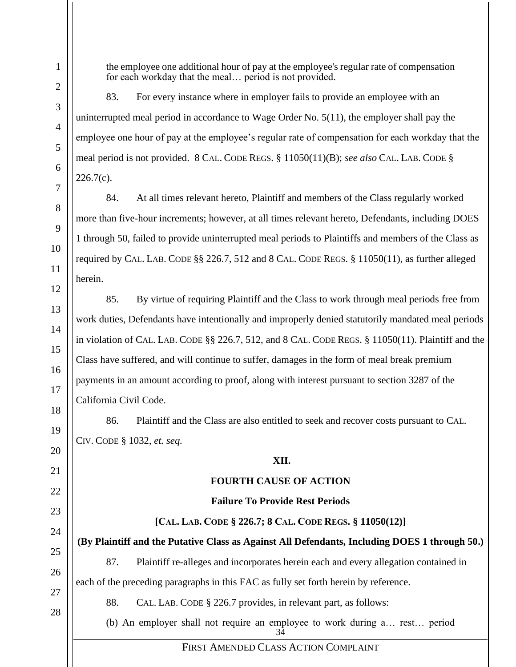the employee one additional hour of pay at the employee's regular rate of compensation for each workday that the meal… period is not provided.

83. For every instance where in employer fails to provide an employee with an uninterrupted meal period in accordance to Wage Order No. 5(11), the employer shall pay the employee one hour of pay at the employee's regular rate of compensation for each workday that the meal period is not provided. 8 CAL. CODE REGS. § 11050(11)(B); *see also* CAL. LAB. CODE §  $226.7(c)$ .

84. At all times relevant hereto, Plaintiff and members of the Class regularly worked more than five-hour increments; however, at all times relevant hereto, Defendants, including DOES 1 through 50, failed to provide uninterrupted meal periods to Plaintiffs and members of the Class as required by CAL. LAB. CODE §§ 226.7*,* 512 and 8 CAL. CODE REGS. § 11050(11), as further alleged herein.

85. By virtue of requiring Plaintiff and the Class to work through meal periods free from work duties, Defendants have intentionally and improperly denied statutorily mandated meal periods in violation of CAL. LAB. CODE §§ 226.7, 512, and 8 CAL. CODE REGS. § 11050(11). Plaintiff and the Class have suffered, and will continue to suffer, damages in the form of meal break premium payments in an amount according to proof, along with interest pursuant to section 3287 of the California Civil Code.

86. Plaintiff and the Class are also entitled to seek and recover costs pursuant to CAL. CIV. CODE § 1032, *et. seq.*

## **XII.**

## **FOURTH CAUSE OF ACTION**

## **Failure To Provide Rest Periods**

# **[CAL. LAB. CODE § 226.7; 8 CAL. CODE REGS. § 11050(12)]**

**(By Plaintiff and the Putative Class as Against All Defendants, Including DOES 1 through 50.)**

87. Plaintiff re-alleges and incorporates herein each and every allegation contained in each of the preceding paragraphs in this FAC as fully set forth herein by reference.

88. CAL. LAB. CODE § 226.7 provides, in relevant part, as follows:

34 (b) An employer shall not require an employee to work during a… rest… period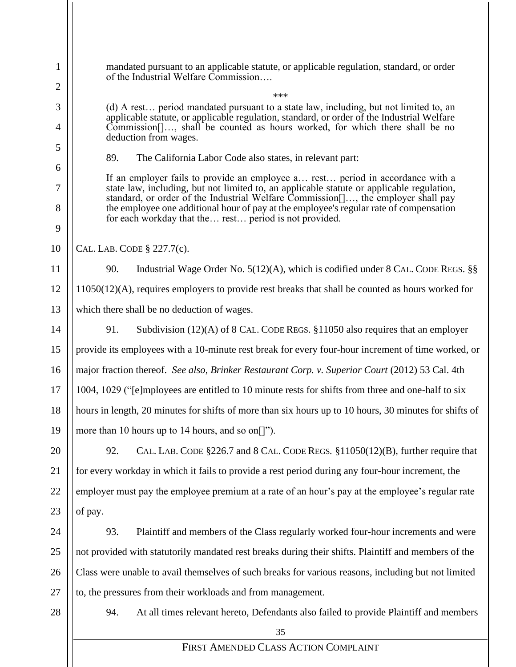| $\mathbf{1}$   | mandated pursuant to an applicable statute, or applicable regulation, standard, or order<br>of the Industrial Welfare Commission                                                                                                                                                    |  |  |  |  |
|----------------|-------------------------------------------------------------------------------------------------------------------------------------------------------------------------------------------------------------------------------------------------------------------------------------|--|--|--|--|
| $\overline{2}$ | ***                                                                                                                                                                                                                                                                                 |  |  |  |  |
| 3<br>4         | (d) A rest period mandated pursuant to a state law, including, but not limited to, an<br>applicable statute, or applicable regulation, standard, or order of the Industrial Welfare<br>Commission <sup>[1,11</sup> ], shall be counted as hours worked, for which there shall be no |  |  |  |  |
| 5              | deduction from wages.                                                                                                                                                                                                                                                               |  |  |  |  |
| 6              | 89.<br>The California Labor Code also states, in relevant part:                                                                                                                                                                                                                     |  |  |  |  |
| 7              | If an employer fails to provide an employee a rest period in accordance with a<br>state law, including, but not limited to, an applicable statute or applicable regulation,                                                                                                         |  |  |  |  |
| 8<br>9         | standard, or order of the Industrial Welfare Commission[], the employer shall pay<br>the employee one additional hour of pay at the employee's regular rate of compensation<br>for each workday that the rest period is not provided.                                               |  |  |  |  |
| 10             | CAL. LAB. CODE § 227.7(c).                                                                                                                                                                                                                                                          |  |  |  |  |
| 11             | 90.<br>Industrial Wage Order No. $5(12)(A)$ , which is codified under 8 CAL. CODE REGS. §§                                                                                                                                                                                          |  |  |  |  |
| 12             | $11050(12)(A)$ , requires employers to provide rest breaks that shall be counted as hours worked for                                                                                                                                                                                |  |  |  |  |
| 13             | which there shall be no deduction of wages.                                                                                                                                                                                                                                         |  |  |  |  |
| 14             | Subdivision $(12)(A)$ of 8 CAL. CODE REGS. §11050 also requires that an employer<br>91.                                                                                                                                                                                             |  |  |  |  |
| 15             | provide its employees with a 10-minute rest break for every four-hour increment of time worked, or                                                                                                                                                                                  |  |  |  |  |
| 16             | major fraction thereof. See also, Brinker Restaurant Corp. v. Superior Court (2012) 53 Cal. 4th                                                                                                                                                                                     |  |  |  |  |
| 17             | 1004, 1029 ("[e]mployees are entitled to 10 minute rests for shifts from three and one-half to six                                                                                                                                                                                  |  |  |  |  |
| 18             | hours in length, 20 minutes for shifts of more than six hours up to 10 hours, 30 minutes for shifts of                                                                                                                                                                              |  |  |  |  |
| 19             | more than 10 hours up to 14 hours, and so on[]").                                                                                                                                                                                                                                   |  |  |  |  |
| 20             | 92.<br>CAL. LAB. CODE $\S226.7$ and 8 CAL. CODE REGS. $\S11050(12)(B)$ , further require that                                                                                                                                                                                       |  |  |  |  |
| 21             | for every workday in which it fails to provide a rest period during any four-hour increment, the                                                                                                                                                                                    |  |  |  |  |
| 22             | employer must pay the employee premium at a rate of an hour's pay at the employee's regular rate                                                                                                                                                                                    |  |  |  |  |
| 23             | of pay.                                                                                                                                                                                                                                                                             |  |  |  |  |
| 24             | Plaintiff and members of the Class regularly worked four-hour increments and were<br>93.                                                                                                                                                                                            |  |  |  |  |
| 25             | not provided with statutorily mandated rest breaks during their shifts. Plaintiff and members of the                                                                                                                                                                                |  |  |  |  |
| 26             | Class were unable to avail themselves of such breaks for various reasons, including but not limited                                                                                                                                                                                 |  |  |  |  |
| 27             | to, the pressures from their workloads and from management.                                                                                                                                                                                                                         |  |  |  |  |
| 28             | 94.<br>At all times relevant hereto, Defendants also failed to provide Plaintiff and members                                                                                                                                                                                        |  |  |  |  |
|                | 35                                                                                                                                                                                                                                                                                  |  |  |  |  |
|                | FIRST AMENDED CLASS ACTION COMPLAINT                                                                                                                                                                                                                                                |  |  |  |  |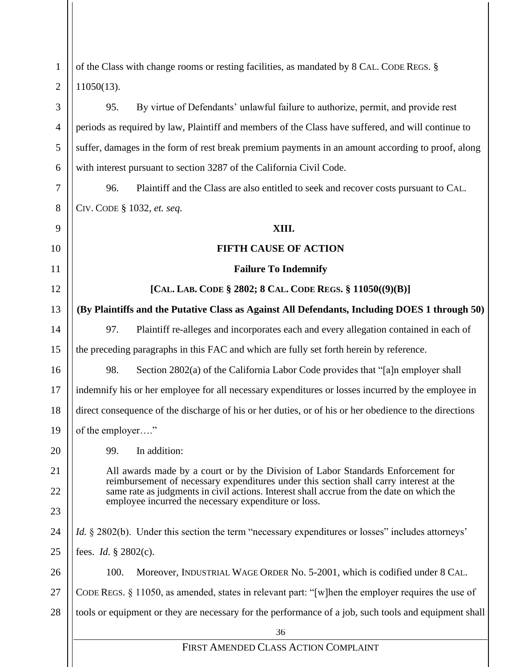| $\mathbf{1}$   | of the Class with change rooms or resting facilities, as mandated by 8 CAL. CODE REGS. §                                                                                   |  |  |
|----------------|----------------------------------------------------------------------------------------------------------------------------------------------------------------------------|--|--|
| $\overline{2}$ | $11050(13)$ .                                                                                                                                                              |  |  |
| 3              | 95.<br>By virtue of Defendants' unlawful failure to authorize, permit, and provide rest                                                                                    |  |  |
| $\overline{4}$ | periods as required by law, Plaintiff and members of the Class have suffered, and will continue to                                                                         |  |  |
| 5              | suffer, damages in the form of rest break premium payments in an amount according to proof, along                                                                          |  |  |
| 6              | with interest pursuant to section 3287 of the California Civil Code.                                                                                                       |  |  |
| 7              | 96.<br>Plaintiff and the Class are also entitled to seek and recover costs pursuant to CAL.                                                                                |  |  |
| 8              | CIV. CODE § 1032, et. seq.                                                                                                                                                 |  |  |
| 9              | XIII.                                                                                                                                                                      |  |  |
| 10             | <b>FIFTH CAUSE OF ACTION</b>                                                                                                                                               |  |  |
| 11             | <b>Failure To Indemnify</b>                                                                                                                                                |  |  |
| 12             | [CAL. LAB. CODE § 2802; 8 CAL. CODE REGS. § 11050((9)(B)]                                                                                                                  |  |  |
| 13             | (By Plaintiffs and the Putative Class as Against All Defendants, Including DOES 1 through 50)                                                                              |  |  |
| 14             | 97.<br>Plaintiff re-alleges and incorporates each and every allegation contained in each of                                                                                |  |  |
| 15             | the preceding paragraphs in this FAC and which are fully set forth herein by reference.                                                                                    |  |  |
| 16             | 98.<br>Section 2802(a) of the California Labor Code provides that "[a]n employer shall                                                                                     |  |  |
| 17             | indemnify his or her employee for all necessary expenditures or losses incurred by the employee in                                                                         |  |  |
| 18             | direct consequence of the discharge of his or her duties, or of his or her obedience to the directions                                                                     |  |  |
| 19             | of the employer"                                                                                                                                                           |  |  |
| 20             | 99.<br>In addition:                                                                                                                                                        |  |  |
| 21             | All awards made by a court or by the Division of Labor Standards Enforcement for<br>reimbursement of necessary expenditures under this section shall carry interest at the |  |  |
| 22             | same rate as judgments in civil actions. Interest shall accrue from the date on which the<br>employee incurred the necessary expenditure or loss.                          |  |  |
| 23             |                                                                                                                                                                            |  |  |
| 24             | <i>Id.</i> § 2802(b). Under this section the term "necessary expenditures or losses" includes attorneys'                                                                   |  |  |
| 25             | fees. <i>Id.</i> $§ 2802(c)$ .                                                                                                                                             |  |  |
| 26             | 100.<br>Moreover, INDUSTRIAL WAGE ORDER No. 5-2001, which is codified under 8 CAL.                                                                                         |  |  |
| 27             | CODE REGS. $\S$ 11050, as amended, states in relevant part: "[w] hen the employer requires the use of                                                                      |  |  |
| 28             | tools or equipment or they are necessary for the performance of a job, such tools and equipment shall                                                                      |  |  |
|                | 36                                                                                                                                                                         |  |  |
|                | FIRST AMENDED CLASS ACTION COMPLAINT                                                                                                                                       |  |  |
|                |                                                                                                                                                                            |  |  |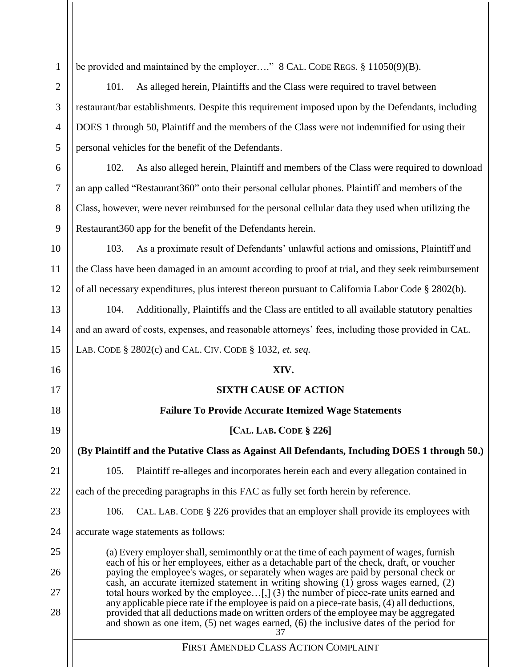1 2

3

4

5

6

7

8

9

11

13

14

15

16

17

18

19

20

21

22

23

24

25

26

27

28

be provided and maintained by the employer…." 8 CAL. CODE REGS. § 11050(9)(B).

101. As alleged herein, Plaintiffs and the Class were required to travel between restaurant/bar establishments. Despite this requirement imposed upon by the Defendants, including DOES 1 through 50, Plaintiff and the members of the Class were not indemnified for using their personal vehicles for the benefit of the Defendants.

102. As also alleged herein, Plaintiff and members of the Class were required to download an app called "Restaurant360" onto their personal cellular phones. Plaintiff and members of the Class, however, were never reimbursed for the personal cellular data they used when utilizing the Restaurant360 app for the benefit of the Defendants herein.

10 12 103. As a proximate result of Defendants' unlawful actions and omissions, Plaintiff and the Class have been damaged in an amount according to proof at trial, and they seek reimbursement of all necessary expenditures, plus interest thereon pursuant to California Labor Code § 2802(b).

104. Additionally, Plaintiffs and the Class are entitled to all available statutory penalties and an award of costs, expenses, and reasonable attorneys' fees, including those provided in CAL. LAB. CODE § 2802(c) and CAL. CIV. CODE § 1032, *et. seq.*

## **XIV.**

## **SIXTH CAUSE OF ACTION**

**Failure To Provide Accurate Itemized Wage Statements**

## **[CAL. LAB. CODE § 226]**

**(By Plaintiff and the Putative Class as Against All Defendants, Including DOES 1 through 50.)**

105. Plaintiff re-alleges and incorporates herein each and every allegation contained in

each of the preceding paragraphs in this FAC as fully set forth herein by reference.

106. CAL. LAB. CODE § 226 provides that an employer shall provide its employees with

accurate wage statements as follows:

37 (a) Every employer shall, semimonthly or at the time of each payment of wages, furnish each of his or her employees, either as a detachable part of the check, draft, or voucher paying the employee's wages, or separately when wages are paid by personal check or cash, an accurate itemized statement in writing showing (1) gross wages earned, (2) total hours worked by the employee…[,] (3) the number of piece-rate units earned and any applicable piece rate if the employee is paid on a piece-rate basis, (4) all deductions, provided that all deductions made on written orders of the employee may be aggregated and shown as one item, (5) net wages earned, (6) the inclusive dates of the period for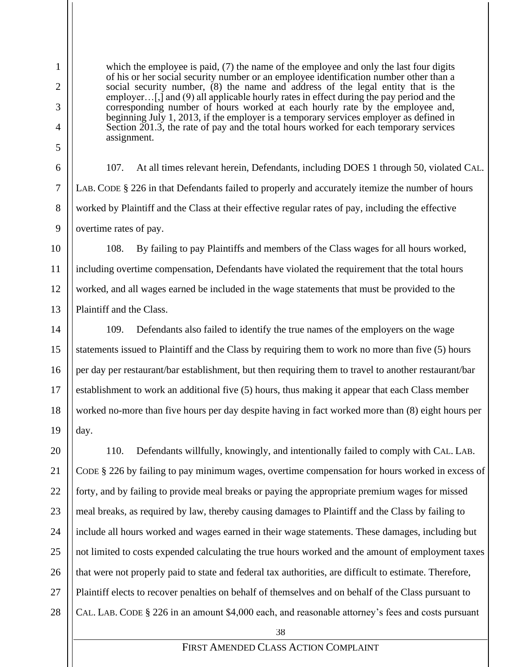which the employee is paid, (7) the name of the employee and only the last four digits of his or her social security number or an employee identification number other than a social security number, (8) the name and address of the legal entity that is the employer…[,] and (9) all applicable hourly rates in effect during the pay period and the corresponding number of hours worked at each hourly rate by the employee and, beginning July 1, 2013, if the employer is a temporary services employer as defined in Section 201.3, the rate of pay and the total hours worked for each temporary services assignment.

107. At all times relevant herein, Defendants, including DOES 1 through 50, violated CAL. LAB. CODE § 226 in that Defendants failed to properly and accurately itemize the number of hours worked by Plaintiff and the Class at their effective regular rates of pay, including the effective overtime rates of pay.

108. By failing to pay Plaintiffs and members of the Class wages for all hours worked, including overtime compensation, Defendants have violated the requirement that the total hours worked, and all wages earned be included in the wage statements that must be provided to the Plaintiff and the Class.

109. Defendants also failed to identify the true names of the employers on the wage statements issued to Plaintiff and the Class by requiring them to work no more than five (5) hours per day per restaurant/bar establishment, but then requiring them to travel to another restaurant/bar establishment to work an additional five (5) hours, thus making it appear that each Class member worked no-more than five hours per day despite having in fact worked more than (8) eight hours per day.

110. Defendants willfully, knowingly, and intentionally failed to comply with CAL. LAB. CODE § 226 by failing to pay minimum wages, overtime compensation for hours worked in excess of forty, and by failing to provide meal breaks or paying the appropriate premium wages for missed meal breaks, as required by law, thereby causing damages to Plaintiff and the Class by failing to include all hours worked and wages earned in their wage statements. These damages, including but not limited to costs expended calculating the true hours worked and the amount of employment taxes that were not properly paid to state and federal tax authorities, are difficult to estimate. Therefore, Plaintiff elects to recover penalties on behalf of themselves and on behalf of the Class pursuant to CAL. LAB. CODE § 226 in an amount \$4,000 each, and reasonable attorney's fees and costs pursuant

38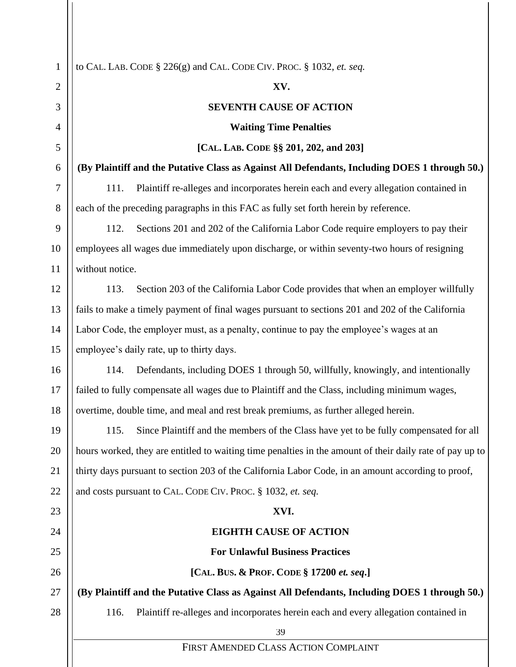| 1              | to CAL. LAB. CODE § 226(g) and CAL. CODE CIV. PROC. § 1032, et. seq.                                     |
|----------------|----------------------------------------------------------------------------------------------------------|
| $\overline{2}$ | XV.                                                                                                      |
| 3              | <b>SEVENTH CAUSE OF ACTION</b>                                                                           |
| 4              | <b>Waiting Time Penalties</b>                                                                            |
| 5              | [CAL. LAB. CODE §§ 201, 202, and 203]                                                                    |
| 6              | (By Plaintiff and the Putative Class as Against All Defendants, Including DOES 1 through 50.)            |
| 7              | 111.<br>Plaintiff re-alleges and incorporates herein each and every allegation contained in              |
| 8              | each of the preceding paragraphs in this FAC as fully set forth herein by reference.                     |
| 9              | 112.<br>Sections 201 and 202 of the California Labor Code require employers to pay their                 |
| 10             | employees all wages due immediately upon discharge, or within seventy-two hours of resigning             |
| 11             | without notice.                                                                                          |
| 12             | Section 203 of the California Labor Code provides that when an employer willfully<br>113.                |
| 13             | fails to make a timely payment of final wages pursuant to sections 201 and 202 of the California         |
| 14             | Labor Code, the employer must, as a penalty, continue to pay the employee's wages at an                  |
| 15             | employee's daily rate, up to thirty days.                                                                |
| 16             | Defendants, including DOES 1 through 50, willfully, knowingly, and intentionally<br>114.                 |
| 17             | failed to fully compensate all wages due to Plaintiff and the Class, including minimum wages,            |
| 18             | overtime, double time, and meal and rest break premiums, as further alleged herein.                      |
| 19             | Since Plaintiff and the members of the Class have yet to be fully compensated for all<br>115.            |
| 20             | hours worked, they are entitled to waiting time penalties in the amount of their daily rate of pay up to |
| 21             | thirty days pursuant to section 203 of the California Labor Code, in an amount according to proof,       |
| 22             | and costs pursuant to CAL. CODE CIV. PROC. § 1032, et. seq.                                              |
| 23             | XVI.                                                                                                     |
| 24             | <b>EIGHTH CAUSE OF ACTION</b>                                                                            |
| 25             | <b>For Unlawful Business Practices</b>                                                                   |
| 26             | [CAL. BUS. & PROF. CODE § 17200 et. seq.]                                                                |
| 27             | (By Plaintiff and the Putative Class as Against All Defendants, Including DOES 1 through 50.)            |
| 28             | Plaintiff re-alleges and incorporates herein each and every allegation contained in<br>116.              |
|                | 39                                                                                                       |
|                | FIRST AMENDED CLASS ACTION COMPLAINT                                                                     |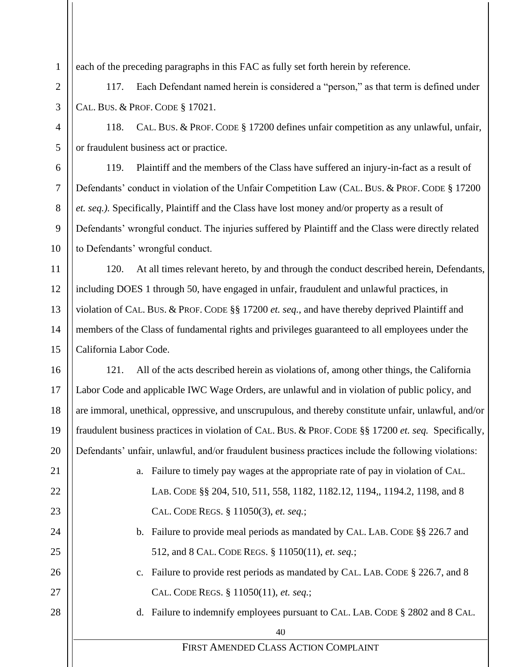each of the preceding paragraphs in this FAC as fully set forth herein by reference.

1

2

3

4

5

6

7

8

9

10

11

12

13

14

15

16

17

18

19

20

21

22

23

24

25

26

27

28

117. Each Defendant named herein is considered a "person," as that term is defined under CAL. BUS. & PROF. CODE § 17021.

118. CAL. BUS. & PROF. CODE § 17200 defines unfair competition as any unlawful, unfair, or fraudulent business act or practice.

119. Plaintiff and the members of the Class have suffered an injury-in-fact as a result of Defendants' conduct in violation of the Unfair Competition Law (CAL. BUS. & PROF. CODE § 17200 *et. seq.).* Specifically, Plaintiff and the Class have lost money and/or property as a result of Defendants' wrongful conduct. The injuries suffered by Plaintiff and the Class were directly related to Defendants' wrongful conduct.

120. At all times relevant hereto, by and through the conduct described herein, Defendants, including DOES 1 through 50, have engaged in unfair, fraudulent and unlawful practices, in violation of CAL. BUS. & PROF. CODE §§ 17200 *et. seq.*, and have thereby deprived Plaintiff and members of the Class of fundamental rights and privileges guaranteed to all employees under the California Labor Code.

121. All of the acts described herein as violations of, among other things, the California Labor Code and applicable IWC Wage Orders, are unlawful and in violation of public policy, and are immoral, unethical, oppressive, and unscrupulous, and thereby constitute unfair, unlawful, and/or fraudulent business practices in violation of CAL. BUS. & PROF. CODE §§ 17200 *et. seq.* Specifically, Defendants' unfair, unlawful, and/or fraudulent business practices include the following violations:

- a. Failure to timely pay wages at the appropriate rate of pay in violation of CAL. LAB. CODE §§ 204, 510, 511, 558, 1182, 1182.12, 1194,, 1194.2, 1198, and 8 CAL. CODE REGS. § 11050(3), *et. seq.*;
- b. Failure to provide meal periods as mandated by CAL. LAB. CODE §§ 226.7 and 512, and 8 CAL. CODE REGS. § 11050(11), *et. seq.*;
- c. Failure to provide rest periods as mandated by CAL. LAB. CODE § 226.7, and 8 CAL. CODE REGS. § 11050(11), *et. seq.*;
- d. Failure to indemnify employees pursuant to CAL. LAB. CODE § 2802 and 8 CAL.

40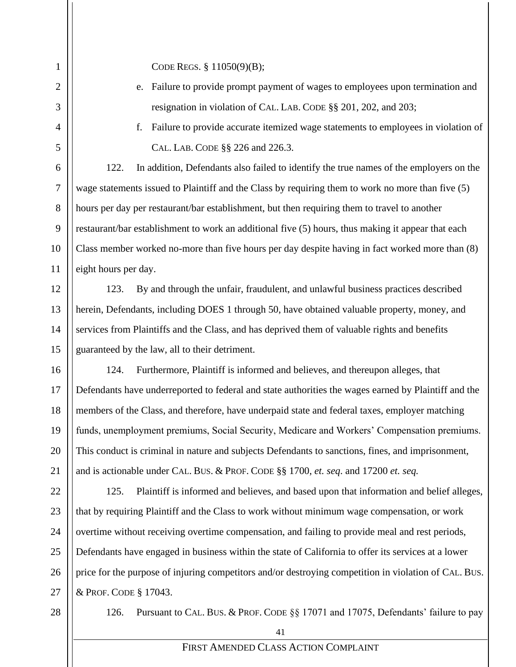CODE REGS. § 11050(9)(B);

- e. Failure to provide prompt payment of wages to employees upon termination and resignation in violation of CAL. LAB. CODE §§ 201, 202, and 203;
- 

1

2

3

4

5

6

7

8

9

10

11

12

13

14

15

16

17

18

19

20

21

22

23

24

25

26

27

f. Failure to provide accurate itemized wage statements to employees in violation of CAL. LAB. CODE §§ 226 and 226.3.

122. In addition, Defendants also failed to identify the true names of the employers on the wage statements issued to Plaintiff and the Class by requiring them to work no more than five (5) hours per day per restaurant/bar establishment, but then requiring them to travel to another restaurant/bar establishment to work an additional five (5) hours, thus making it appear that each Class member worked no-more than five hours per day despite having in fact worked more than (8) eight hours per day.

123. By and through the unfair, fraudulent, and unlawful business practices described herein, Defendants, including DOES 1 through 50, have obtained valuable property, money, and services from Plaintiffs and the Class, and has deprived them of valuable rights and benefits guaranteed by the law, all to their detriment.

124. Furthermore, Plaintiff is informed and believes, and thereupon alleges, that Defendants have underreported to federal and state authorities the wages earned by Plaintiff and the members of the Class, and therefore, have underpaid state and federal taxes, employer matching funds, unemployment premiums, Social Security, Medicare and Workers' Compensation premiums. This conduct is criminal in nature and subjects Defendants to sanctions, fines, and imprisonment, and is actionable under CAL. BUS. & PROF. CODE §§ 1700, *et. seq*. and 17200 *et. seq.*

125. Plaintiff is informed and believes, and based upon that information and belief alleges, that by requiring Plaintiff and the Class to work without minimum wage compensation, or work overtime without receiving overtime compensation, and failing to provide meal and rest periods, Defendants have engaged in business within the state of California to offer its services at a lower price for the purpose of injuring competitors and/or destroying competition in violation of CAL. BUS. & PROF. CODE § 17043.

28

126. Pursuant to CAL. BUS. & PROF. CODE §§ 17071 and 17075, Defendants' failure to pay

41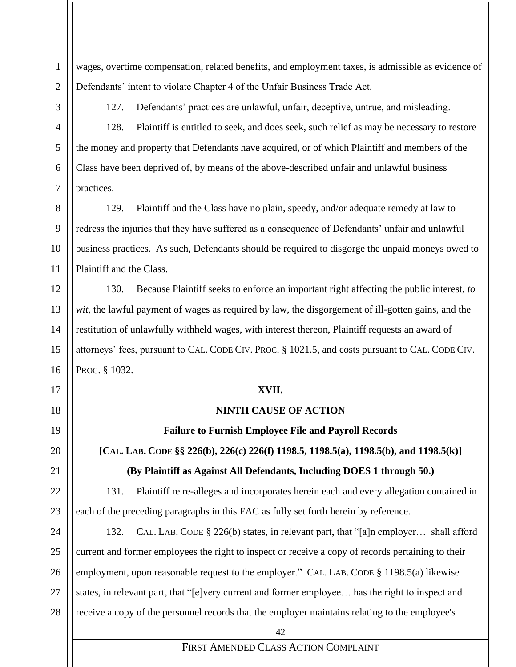wages, overtime compensation, related benefits, and employment taxes, is admissible as evidence of Defendants' intent to violate Chapter 4 of the Unfair Business Trade Act*.*

1

2

3

4

5

6

7

8

9

10

11

12

13

14

15

16

17

18

19

20

21

22

23

127. Defendants' practices are unlawful, unfair, deceptive, untrue, and misleading.

128. Plaintiff is entitled to seek, and does seek, such relief as may be necessary to restore the money and property that Defendants have acquired, or of which Plaintiff and members of the Class have been deprived of, by means of the above-described unfair and unlawful business practices.

129. Plaintiff and the Class have no plain, speedy, and/or adequate remedy at law to redress the injuries that they have suffered as a consequence of Defendants' unfair and unlawful business practices. As such, Defendants should be required to disgorge the unpaid moneys owed to Plaintiff and the Class.

130. Because Plaintiff seeks to enforce an important right affecting the public interest, *to wit*, the lawful payment of wages as required by law, the disgorgement of ill-gotten gains, and the restitution of unlawfully withheld wages, with interest thereon, Plaintiff requests an award of attorneys' fees, pursuant to CAL. CODE CIV. PROC. § 1021.5, and costs pursuant to CAL. CODE CIV. PROC. § 1032.

### **XVII.**

### **NINTH CAUSE OF ACTION**

**Failure to Furnish Employee File and Payroll Records**

**[CAL. LAB. CODE §§ 226(b), 226(c) 226(f) 1198.5, 1198.5(a), 1198.5(b), and 1198.5(k)]**

## **(By Plaintiff as Against All Defendants, Including DOES 1 through 50.)**

131. Plaintiff re re-alleges and incorporates herein each and every allegation contained in each of the preceding paragraphs in this FAC as fully set forth herein by reference.

24 25 26 27 28 132. CAL. LAB. CODE § 226(b) states, in relevant part, that "[a]n employer… shall afford current and former employees the right to inspect or receive a copy of records pertaining to their employment, upon reasonable request to the employer." CAL. LAB. CODE § 1198.5(a) likewise states, in relevant part, that "[e]very current and former employee… has the right to inspect and receive a copy of the personnel records that the employer maintains relating to the employee's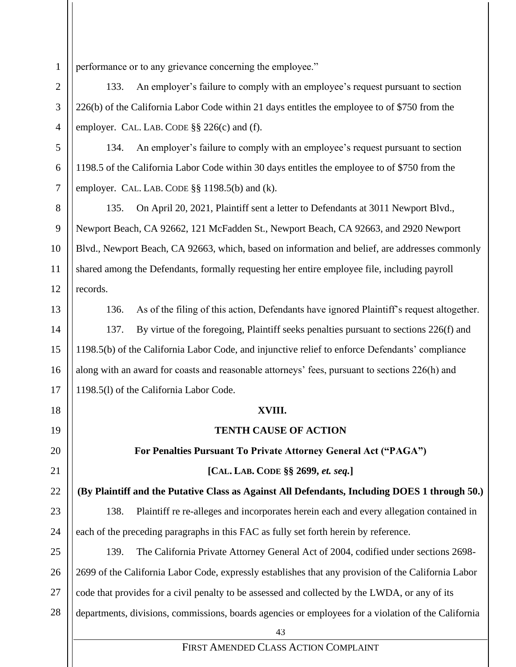1 performance or to any grievance concerning the employee."

133. An employer's failure to comply with an employee's request pursuant to section 226(b) of the California Labor Code within 21 days entitles the employee to of \$750 from the employer. CAL. LAB. CODE §§ 226(c) and (f).

134. An employer's failure to comply with an employee's request pursuant to section 1198.5 of the California Labor Code within 30 days entitles the employee to of \$750 from the employer. CAL. LAB. CODE §§ 1198.5(b) and (k).

135. On April 20, 2021, Plaintiff sent a letter to Defendants at 3011 Newport Blvd., Newport Beach, CA 92662, 121 McFadden St., Newport Beach, CA 92663, and 2920 Newport Blvd., Newport Beach, CA 92663, which, based on information and belief, are addresses commonly shared among the Defendants, formally requesting her entire employee file, including payroll records.

13

2

3

4

5

6

7

8

9

10

11

12

14

15

16

17

18

19

20

21

22

23

24

136. As of the filing of this action, Defendants have ignored Plaintiff's request altogether. 137. By virtue of the foregoing, Plaintiff seeks penalties pursuant to sections 226(f) and 1198.5(b) of the California Labor Code, and injunctive relief to enforce Defendants' compliance along with an award for coasts and reasonable attorneys' fees, pursuant to sections 226(h) and 1198.5(l) of the California Labor Code.

### **XVIII.**

## **TENTH CAUSE OF ACTION**

**For Penalties Pursuant To Private Attorney General Act ("PAGA")**

## **[CAL. LAB. CODE §§ 2699,** *et. seq.***]**

**(By Plaintiff and the Putative Class as Against All Defendants, Including DOES 1 through 50.)**

138. Plaintiff re re-alleges and incorporates herein each and every allegation contained in each of the preceding paragraphs in this FAC as fully set forth herein by reference.

25 26 27 28 139. The California Private Attorney General Act of 2004, codified under sections 2698- 2699 of the California Labor Code, expressly establishes that any provision of the California Labor code that provides for a civil penalty to be assessed and collected by the LWDA, or any of its departments, divisions, commissions, boards agencies or employees for a violation of the California

43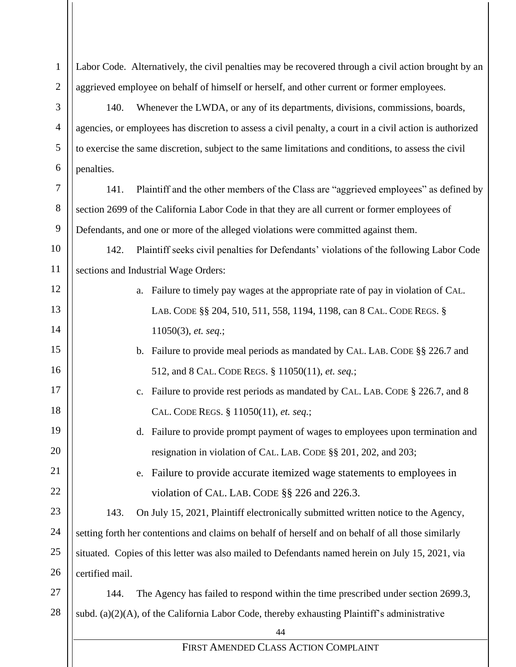44 FIRST AMENDED CLASS ACTION COMPLAINT 1 2 3 4 5 6 7 8 9 10 11 12 13 14 15 16 17 18 19 20 21 22 23 24 25 26 27 28 Labor Code. Alternatively, the civil penalties may be recovered through a civil action brought by an aggrieved employee on behalf of himself or herself, and other current or former employees. 140. Whenever the LWDA, or any of its departments, divisions, commissions, boards, agencies, or employees has discretion to assess a civil penalty, a court in a civil action is authorized to exercise the same discretion, subject to the same limitations and conditions, to assess the civil penalties. 141. Plaintiff and the other members of the Class are "aggrieved employees" as defined by section 2699 of the California Labor Code in that they are all current or former employees of Defendants, and one or more of the alleged violations were committed against them. 142. Plaintiff seeks civil penalties for Defendants' violations of the following Labor Code sections and Industrial Wage Orders: a. Failure to timely pay wages at the appropriate rate of pay in violation of CAL. LAB. CODE §§ 204, 510, 511, 558, 1194, 1198, can 8 CAL. CODE REGS. § 11050(3), *et. seq.*; b. Failure to provide meal periods as mandated by CAL. LAB. CODE §§ 226.7 and 512, and 8 CAL. CODE REGS. § 11050(11), *et. seq.*; c. Failure to provide rest periods as mandated by CAL. LAB. CODE § 226.7, and 8 CAL. CODE REGS. § 11050(11), *et. seq.*; d. Failure to provide prompt payment of wages to employees upon termination and resignation in violation of CAL. LAB. CODE §§ 201, 202, and 203; e. Failure to provide accurate itemized wage statements to employees in violation of CAL. LAB. CODE §§ 226 and 226.3. 143. On July 15, 2021, Plaintiff electronically submitted written notice to the Agency, setting forth her contentions and claims on behalf of herself and on behalf of all those similarly situated. Copies of this letter was also mailed to Defendants named herein on July 15, 2021, via certified mail. 144. The Agency has failed to respond within the time prescribed under section 2699.3, subd. (a) $(2)(A)$ , of the California Labor Code, thereby exhausting Plaintiff's administrative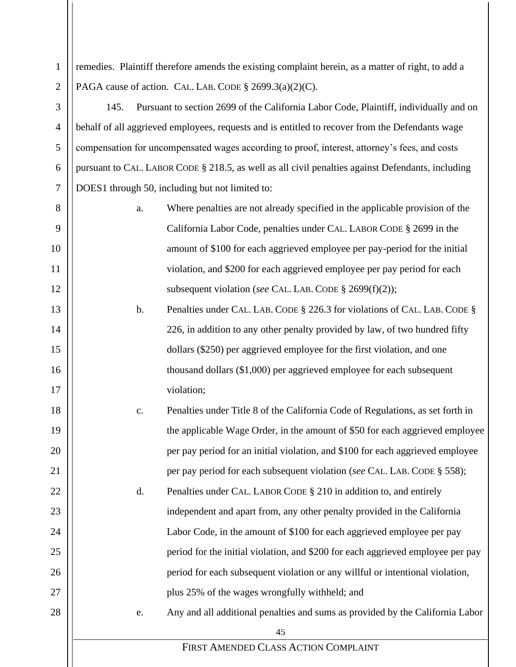1 2 remedies. Plaintiff therefore amends the existing complaint herein, as a matter of right, to add a PAGA cause of action. CAL. LAB. CODE  $\S$  2699.3(a)(2)(C).

3

4

5

6

7

13

14

15

16

17

18

19

20

21

22

23

24

25

26

27

28

145. Pursuant to section 2699 of the California Labor Code, Plaintiff, individually and on behalf of all aggrieved employees, requests and is entitled to recover from the Defendants wage compensation for uncompensated wages according to proof, interest, attorney's fees, and costs pursuant to CAL. LABOR CODE § 218.5, as well as all civil penalties against Defendants, including DOES1 through 50, including but not limited to:

- 8 9 10 11 12 a. Where penalties are not already specified in the applicable provision of the California Labor Code, penalties under CAL. LABOR CODE § 2699 in the amount of \$100 for each aggrieved employee per pay-period for the initial violation, and \$200 for each aggrieved employee per pay period for each subsequent violation (*see* CAL. LAB. CODE § 2699(f)(2));
	- b. Penalties under CAL. LAB. CODE § 226.3 for violations of CAL. LAB. CODE § 226, in addition to any other penalty provided by law, of two hundred fifty dollars (\$250) per aggrieved employee for the first violation, and one thousand dollars (\$1,000) per aggrieved employee for each subsequent violation;
	- c. Penalties under Title 8 of the California Code of Regulations, as set forth in the applicable Wage Order, in the amount of \$50 for each aggrieved employee per pay period for an initial violation, and \$100 for each aggrieved employee

per pay period for each subsequent violation (*see* CAL. LAB. CODE § 558);

- d. Penalties under CAL. LABOR CODE § 210 in addition to, and entirely independent and apart from, any other penalty provided in the California Labor Code, in the amount of \$100 for each aggrieved employee per pay period for the initial violation, and \$200 for each aggrieved employee per pay period for each subsequent violation or any willful or intentional violation, plus 25% of the wages wrongfully withheld; and
	- e. Any and all additional penalties and sums as provided by the California Labor

45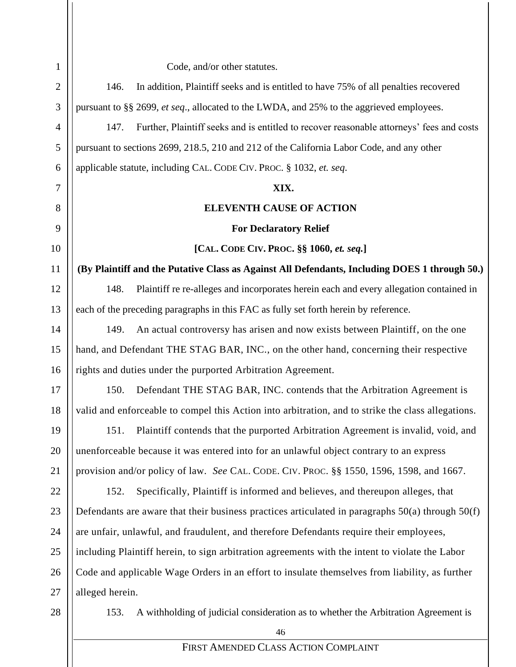| $\mathbf{1}$   | Code, and/or other statutes.                                                                         |
|----------------|------------------------------------------------------------------------------------------------------|
| $\overline{2}$ | In addition, Plaintiff seeks and is entitled to have 75% of all penalties recovered<br>146.          |
| 3              | pursuant to §§ 2699, et seq., allocated to the LWDA, and 25% to the aggrieved employees.             |
| $\overline{4}$ | Further, Plaintiff seeks and is entitled to recover reasonable attorneys' fees and costs<br>147.     |
| 5              | pursuant to sections 2699, 218.5, 210 and 212 of the California Labor Code, and any other            |
| 6              | applicable statute, including CAL. CODE CIV. PROC. § 1032, et. seq.                                  |
| 7              | XIX.                                                                                                 |
| 8              | <b>ELEVENTH CAUSE OF ACTION</b>                                                                      |
| 9              | <b>For Declaratory Relief</b>                                                                        |
| 10             | [CAL. CODE CIV. PROC. §§ 1060, et. seq.]                                                             |
| 11             | (By Plaintiff and the Putative Class as Against All Defendants, Including DOES 1 through 50.)        |
| 12             | Plaintiff re re-alleges and incorporates herein each and every allegation contained in<br>148.       |
| 13             | each of the preceding paragraphs in this FAC as fully set forth herein by reference.                 |
| 14             | An actual controversy has arisen and now exists between Plaintiff, on the one<br>149.                |
| 15             | hand, and Defendant THE STAG BAR, INC., on the other hand, concerning their respective               |
| 16             | rights and duties under the purported Arbitration Agreement.                                         |
| 17             | Defendant THE STAG BAR, INC. contends that the Arbitration Agreement is<br>150.                      |
| 18             | valid and enforceable to compel this Action into arbitration, and to strike the class allegations.   |
| 19             | 151.<br>Plaintiff contends that the purported Arbitration Agreement is invalid, void, and            |
| 20             | unenforceable because it was entered into for an unlawful object contrary to an express              |
| 21             | provision and/or policy of law. See CAL. CODE. CIV. PROC. §§ 1550, 1596, 1598, and 1667.             |
| 22             | Specifically, Plaintiff is informed and believes, and thereupon alleges, that<br>152.                |
| 23             | Defendants are aware that their business practices articulated in paragraphs $50(a)$ through $50(f)$ |
| 24             | are unfair, unlawful, and fraudulent, and therefore Defendants require their employees,              |
| 25             | including Plaintiff herein, to sign arbitration agreements with the intent to violate the Labor      |
| 26             | Code and applicable Wage Orders in an effort to insulate themselves from liability, as further       |
| 27             | alleged herein.                                                                                      |
| 28             | A withholding of judicial consideration as to whether the Arbitration Agreement is<br>153.           |
|                | 46                                                                                                   |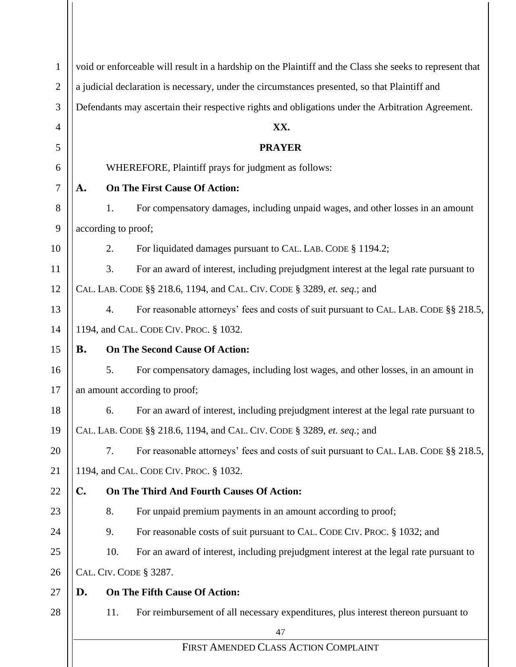| void or enforceable will result in a hardship on the Plaintiff and the Class she seeks to represent that        |  |  |  |  |
|-----------------------------------------------------------------------------------------------------------------|--|--|--|--|
|                                                                                                                 |  |  |  |  |
| a judicial declaration is necessary, under the circumstances presented, so that Plaintiff and<br>$\mathfrak{2}$ |  |  |  |  |
| Defendants may ascertain their respective rights and obligations under the Arbitration Agreement.               |  |  |  |  |
| XX.                                                                                                             |  |  |  |  |
| <b>PRAYER</b>                                                                                                   |  |  |  |  |
| WHEREFORE, Plaintiff prays for judgment as follows:                                                             |  |  |  |  |
| <b>On The First Cause Of Action:</b>                                                                            |  |  |  |  |
| For compensatory damages, including unpaid wages, and other losses in an amount<br>1.                           |  |  |  |  |
| according to proof;                                                                                             |  |  |  |  |
| For liquidated damages pursuant to CAL. LAB. CODE § 1194.2;<br>2.                                               |  |  |  |  |
| For an award of interest, including prejudgment interest at the legal rate pursuant to<br>3.                    |  |  |  |  |
| CAL. LAB. CODE §§ 218.6, 1194, and CAL. CIV. CODE § 3289, et. seq.; and                                         |  |  |  |  |
| For reasonable attorneys' fees and costs of suit pursuant to CAL. LAB. CODE §§ 218.5,<br>4.                     |  |  |  |  |
| 1194, and CAL. CODE CIV. PROC. § 1032.                                                                          |  |  |  |  |
| <b>On The Second Cause Of Action:</b>                                                                           |  |  |  |  |
| For compensatory damages, including lost wages, and other losses, in an amount in<br>5.                         |  |  |  |  |
| an amount according to proof;                                                                                   |  |  |  |  |
| For an award of interest, including prejudgment interest at the legal rate pursuant to<br>6.                    |  |  |  |  |
| CAL. LAB. CODE §§ 218.6, 1194, and CAL. CIV. CODE § 3289, et. seq.; and                                         |  |  |  |  |
| 7.<br>For reasonable attorneys' fees and costs of suit pursuant to CAL. LAB. CODE §§ 218.5,                     |  |  |  |  |
| 1194, and CAL. CODE CIV. PROC. § 1032.                                                                          |  |  |  |  |
| On The Third And Fourth Causes Of Action:                                                                       |  |  |  |  |
| 8.<br>For unpaid premium payments in an amount according to proof;                                              |  |  |  |  |
| 9.<br>For reasonable costs of suit pursuant to CAL. CODE CIV. PROC. § 1032; and                                 |  |  |  |  |
| 10.<br>For an award of interest, including prejudgment interest at the legal rate pursuant to                   |  |  |  |  |
| CAL. CIV. CODE § 3287.                                                                                          |  |  |  |  |
| On The Fifth Cause Of Action:                                                                                   |  |  |  |  |
| For reimbursement of all necessary expenditures, plus interest thereon pursuant to<br>11.                       |  |  |  |  |
| 47                                                                                                              |  |  |  |  |
| FIRST AMENDED CLASS ACTION COMPLAINT                                                                            |  |  |  |  |
|                                                                                                                 |  |  |  |  |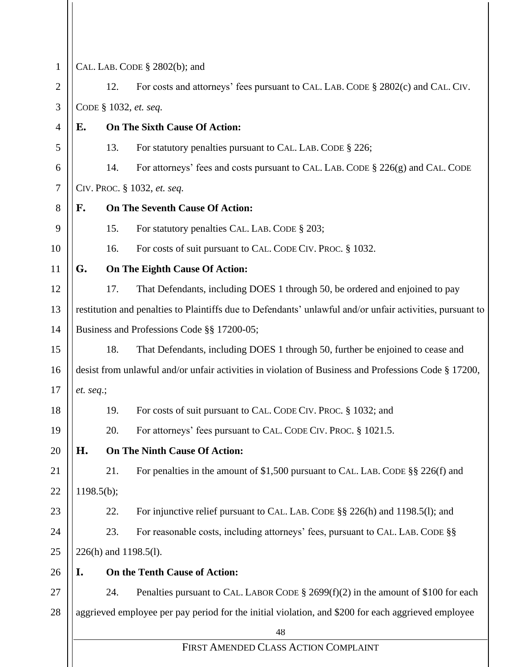| $\mathbf{1}$   |                             |     | CAL. LAB. CODE § 2802(b); and                                                                             |
|----------------|-----------------------------|-----|-----------------------------------------------------------------------------------------------------------|
| $\mathbf{2}$   |                             | 12. | For costs and attorneys' fees pursuant to CAL. LAB. CODE § 2802(c) and CAL. CIV.                          |
| 3              |                             |     | CODE § 1032, et. seq.                                                                                     |
| $\overline{4}$ | Е.                          |     | <b>On The Sixth Cause Of Action:</b>                                                                      |
| 5              |                             | 13. | For statutory penalties pursuant to CAL. LAB. CODE § 226;                                                 |
| 6              |                             | 14. | For attorneys' fees and costs pursuant to CAL. LAB. CODE § 226(g) and CAL. CODE                           |
| 7              | CIV. PROC. § 1032, et. seq. |     |                                                                                                           |
| 8              | F.                          |     | <b>On The Seventh Cause Of Action:</b>                                                                    |
| 9              |                             | 15. | For statutory penalties CAL. LAB. CODE § 203;                                                             |
| 10             |                             | 16. | For costs of suit pursuant to CAL. CODE CIV. PROC. § 1032.                                                |
| 11             | G.                          |     | On The Eighth Cause Of Action:                                                                            |
| 12             |                             | 17. | That Defendants, including DOES 1 through 50, be ordered and enjoined to pay                              |
| 13             |                             |     | restitution and penalties to Plaintiffs due to Defendants' unlawful and/or unfair activities, pursuant to |
| 14             |                             |     | Business and Professions Code §§ 17200-05;                                                                |
| 15             |                             | 18. | That Defendants, including DOES 1 through 50, further be enjoined to cease and                            |
| 16             |                             |     | desist from unlawful and/or unfair activities in violation of Business and Professions Code § 17200,      |
| 17             | et. seq.;                   |     |                                                                                                           |
| 18             |                             | 19. | For costs of suit pursuant to CAL. CODE CIV. PROC. § 1032; and                                            |
| 19             |                             | 20. | For attorneys' fees pursuant to CAL. CODE CIV. PROC. § 1021.5.                                            |
| 20             | Н.                          |     | <b>On The Ninth Cause Of Action:</b>                                                                      |
| 21             |                             | 21. | For penalties in the amount of \$1,500 pursuant to CAL. LAB. CODE $\S$ § 226(f) and                       |
| 22             | 1198.5(b);                  |     |                                                                                                           |
| 23             |                             | 22. | For injunctive relief pursuant to CAL. LAB. CODE §§ 226(h) and 1198.5(l); and                             |
| 24             |                             | 23. | For reasonable costs, including attorneys' fees, pursuant to CAL. LAB. CODE §§                            |
| 25             | 226(h) and 1198.5(l).       |     |                                                                                                           |
| 26             | I.                          |     | On the Tenth Cause of Action:                                                                             |
| 27             |                             | 24. | Penalties pursuant to CAL. LABOR CODE $\S$ 2699(f)(2) in the amount of \$100 for each                     |
| 28             |                             |     | aggrieved employee per pay period for the initial violation, and \$200 for each aggrieved employee        |
|                |                             |     | 48                                                                                                        |
|                |                             |     | FIRST AMENDED CLASS ACTION COMPLAINT                                                                      |
|                |                             |     |                                                                                                           |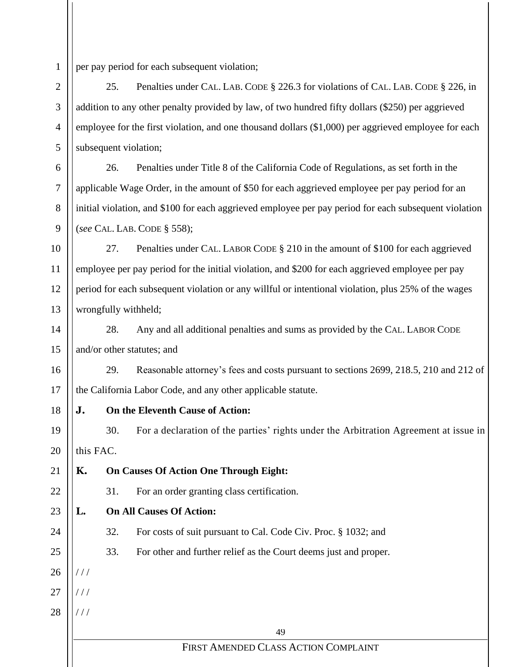1 per pay period for each subsequent violation;

25. Penalties under CAL. LAB. CODE § 226.3 for violations of CAL. LAB. CODE § 226, in addition to any other penalty provided by law, of two hundred fifty dollars (\$250) per aggrieved employee for the first violation, and one thousand dollars (\$1,000) per aggrieved employee for each subsequent violation;

26. Penalties under Title 8 of the California Code of Regulations, as set forth in the applicable Wage Order, in the amount of \$50 for each aggrieved employee per pay period for an initial violation, and \$100 for each aggrieved employee per pay period for each subsequent violation (*see* CAL. LAB. CODE § 558);

27. Penalties under CAL. LABOR CODE § 210 in the amount of \$100 for each aggrieved employee per pay period for the initial violation, and \$200 for each aggrieved employee per pay period for each subsequent violation or any willful or intentional violation, plus 25% of the wages wrongfully withheld;

14 15 28. Any and all additional penalties and sums as provided by the CAL. LABOR CODE and/or other statutes; and

16 17 29. Reasonable attorney's fees and costs pursuant to sections 2699, 218.5, 210 and 212 of the California Labor Code, and any other applicable statute.

**J. On the Eleventh Cause of Action:**

19 20 30. For a declaration of the parties' rights under the Arbitration Agreement at issue in this FAC.

- 21 22 23 **K. On Causes Of Action One Through Eight:** 31. For an order granting class certification. **L. On All Causes Of Action:**
	- 32. For costs of suit pursuant to Cal. Code Civ. Proc. § 1032; and
	- 33. For other and further relief as the Court deems just and proper.
- 26  $1/1$

24

25

2

3

4

5

6

7

8

9

10

11

12

13

18

- 27  $111$
- 28 / / /

49